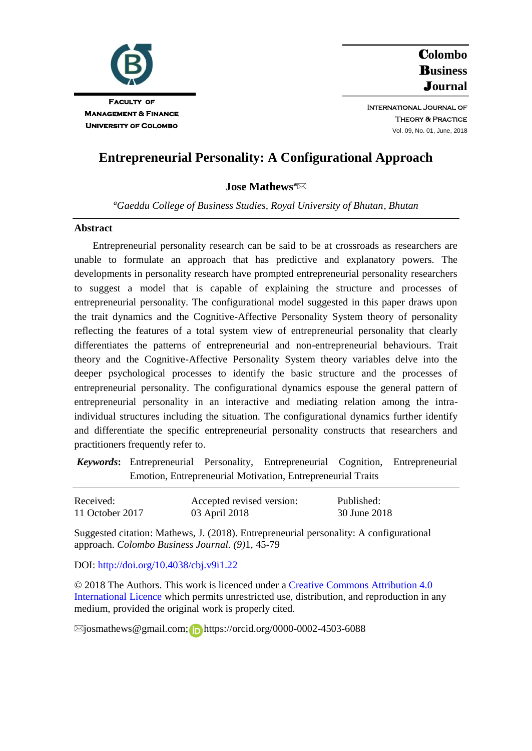

C**olombo**  B**usiness**  J**ournal**

International Journal of Theory & Practice Vol. 09, No. 01, June, 2018

# **Entrepreneurial Personality: A Configurational Approach**

# **Jose Mathews<sup>a</sup>**

*<sup>a</sup>Gaeddu College of Business Studies, Royal University of Bhutan, Bhutan*

### **Abstract**

Entrepreneurial personality research can be said to be at crossroads as researchers are unable to formulate an approach that has predictive and explanatory powers. The developments in personality research have prompted entrepreneurial personality researchers to suggest a model that is capable of explaining the structure and processes of entrepreneurial personality. The configurational model suggested in this paper draws upon the trait dynamics and the Cognitive-Affective Personality System theory of personality reflecting the features of a total system view of entrepreneurial personality that clearly differentiates the patterns of entrepreneurial and non-entrepreneurial behaviours. Trait theory and the Cognitive-Affective Personality System theory variables delve into the deeper psychological processes to identify the basic structure and the processes of entrepreneurial personality. The configurational dynamics espouse the general pattern of entrepreneurial personality in an interactive and mediating relation among the intraindividual structures including the situation. The configurational dynamics further identify and differentiate the specific entrepreneurial personality constructs that researchers and practitioners frequently refer to.

*Keywords***:** Entrepreneurial Personality, Entrepreneurial Cognition, Entrepreneurial Emotion, Entrepreneurial Motivation, Entrepreneurial Traits

| Received:       | Accepted revised version: | Published:   |
|-----------------|---------------------------|--------------|
| 11 October 2017 | 03 April 2018             | 30 June 2018 |

Suggested citation: Mathews, J. (2018). Entrepreneurial personality: A configurational approach. *Colombo Business Journal. (9)*1, 45-79

## DOI:<http://doi.org/10.4038/cbj.v9i1.22>

© 2018 The Authors. This work is licenced under [a Creative Commons Attribution 4.0](https://creativecommons.org/share-your-work/licensing-types-examples/licensing-examples/#by)  [International Licence](https://creativecommons.org/share-your-work/licensing-types-examples/licensing-examples/#by) which permits unrestricted use, distribution, and reproduction in any medium, provided the original work is properly cited.

 $\boxtimes$ josmathews@gmail.com;https://orcid.org/0000-0002-4503-6088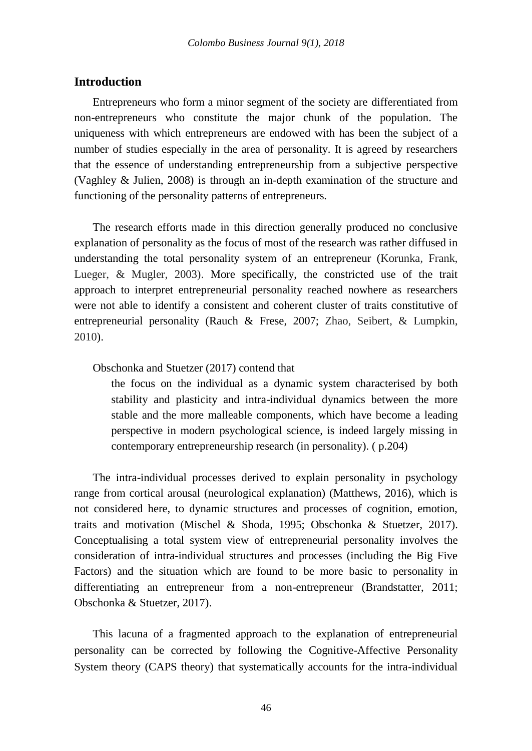# **Introduction**

Entrepreneurs who form a minor segment of the society are differentiated from non-entrepreneurs who constitute the major chunk of the population. The uniqueness with which entrepreneurs are endowed with has been the subject of a number of studies especially in the area of personality. It is agreed by researchers that the essence of understanding entrepreneurship from a subjective perspective (Vaghley & Julien, 2008) is through an in-depth examination of the structure and functioning of the personality patterns of entrepreneurs.

The research efforts made in this direction generally produced no conclusive explanation of personality as the focus of most of the research was rather diffused in understanding the total personality system of an entrepreneur (Korunka, Frank, Lueger, & Mugler, 2003). More specifically, the constricted use of the trait approach to interpret entrepreneurial personality reached nowhere as researchers were not able to identify a consistent and coherent cluster of traits constitutive of entrepreneurial personality (Rauch & Frese, 2007; Zhao, Seibert, & Lumpkin, 2010).

## Obschonka and Stuetzer (2017) contend that

the focus on the individual as a dynamic system characterised by both stability and plasticity and intra-individual dynamics between the more stable and the more malleable components, which have become a leading perspective in modern psychological science, is indeed largely missing in contemporary entrepreneurship research (in personality). ( p.204)

The intra-individual processes derived to explain personality in psychology range from cortical arousal (neurological explanation) (Matthews, 2016), which is not considered here, to dynamic structures and processes of cognition, emotion, traits and motivation (Mischel & Shoda, 1995; Obschonka & Stuetzer, 2017). Conceptualising a total system view of entrepreneurial personality involves the consideration of intra-individual structures and processes (including the Big Five Factors) and the situation which are found to be more basic to personality in differentiating an entrepreneur from a non-entrepreneur (Brandstatter, 2011; Obschonka & Stuetzer, 2017).

This lacuna of a fragmented approach to the explanation of entrepreneurial personality can be corrected by following the Cognitive-Affective Personality System theory (CAPS theory) that systematically accounts for the intra-individual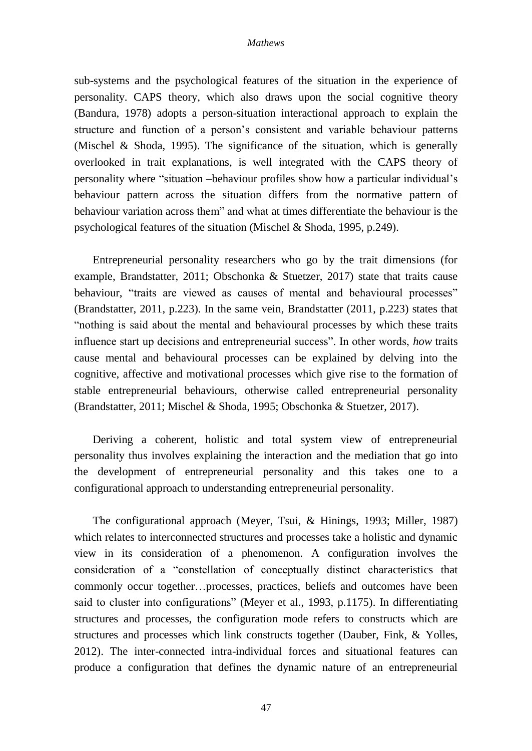sub-systems and the psychological features of the situation in the experience of personality. CAPS theory, which also draws upon the social cognitive theory (Bandura, 1978) adopts a person-situation interactional approach to explain the structure and function of a person's consistent and variable behaviour patterns (Mischel & Shoda, 1995). The significance of the situation, which is generally overlooked in trait explanations, is well integrated with the CAPS theory of personality where "situation –behaviour profiles show how a particular individual's behaviour pattern across the situation differs from the normative pattern of behaviour variation across them" and what at times differentiate the behaviour is the psychological features of the situation (Mischel & Shoda, 1995, p.249).

Entrepreneurial personality researchers who go by the trait dimensions (for example, Brandstatter, 2011; Obschonka & Stuetzer, 2017) state that traits cause behaviour, "traits are viewed as causes of mental and behavioural processes" (Brandstatter, 2011, p.223). In the same vein, Brandstatter (2011, p.223) states that "nothing is said about the mental and behavioural processes by which these traits influence start up decisions and entrepreneurial success". In other words, *how* traits cause mental and behavioural processes can be explained by delving into the cognitive, affective and motivational processes which give rise to the formation of stable entrepreneurial behaviours, otherwise called entrepreneurial personality (Brandstatter, 2011; Mischel & Shoda, 1995; Obschonka & Stuetzer, 2017).

Deriving a coherent, holistic and total system view of entrepreneurial personality thus involves explaining the interaction and the mediation that go into the development of entrepreneurial personality and this takes one to a configurational approach to understanding entrepreneurial personality.

The configurational approach (Meyer, Tsui, & Hinings, 1993; Miller, 1987) which relates to interconnected structures and processes take a holistic and dynamic view in its consideration of a phenomenon. A configuration involves the consideration of a "constellation of conceptually distinct characteristics that commonly occur together…processes, practices, beliefs and outcomes have been said to cluster into configurations" (Meyer et al., 1993, p.1175). In differentiating structures and processes, the configuration mode refers to constructs which are structures and processes which link constructs together (Dauber, Fink, & Yolles, 2012). The inter-connected intra-individual forces and situational features can produce a configuration that defines the dynamic nature of an entrepreneurial

47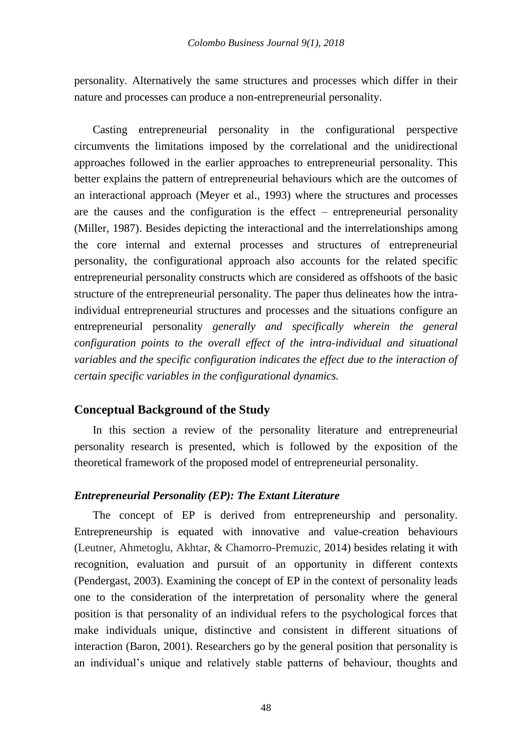personality. Alternatively the same structures and processes which differ in their nature and processes can produce a non-entrepreneurial personality.

Casting entrepreneurial personality in the configurational perspective circumvents the limitations imposed by the correlational and the unidirectional approaches followed in the earlier approaches to entrepreneurial personality. This better explains the pattern of entrepreneurial behaviours which are the outcomes of an interactional approach (Meyer et al., 1993) where the structures and processes are the causes and the configuration is the effect – entrepreneurial personality (Miller, 1987). Besides depicting the interactional and the interrelationships among the core internal and external processes and structures of entrepreneurial personality, the configurational approach also accounts for the related specific entrepreneurial personality constructs which are considered as offshoots of the basic structure of the entrepreneurial personality. The paper thus delineates how the intraindividual entrepreneurial structures and processes and the situations configure an entrepreneurial personality *generally and specifically wherein the general configuration points to the overall effect of the intra-individual and situational variables and the specific configuration indicates the effect due to the interaction of certain specific variables in the configurational dynamics.*

## **Conceptual Background of the Study**

In this section a review of the personality literature and entrepreneurial personality research is presented, which is followed by the exposition of the theoretical framework of the proposed model of entrepreneurial personality.

## *Entrepreneurial Personality (EP): The Extant Literature*

The concept of EP is derived from entrepreneurship and personality. Entrepreneurship is equated with innovative and value-creation behaviours (Leutner, Ahmetoglu, Akhtar, & Chamorro-Premuzic, 2014) besides relating it with recognition, evaluation and pursuit of an opportunity in different contexts (Pendergast, 2003). Examining the concept of EP in the context of personality leads one to the consideration of the interpretation of personality where the general position is that personality of an individual refers to the psychological forces that make individuals unique, distinctive and consistent in different situations of interaction (Baron, 2001). Researchers go by the general position that personality is an individual's unique and relatively stable patterns of behaviour, thoughts and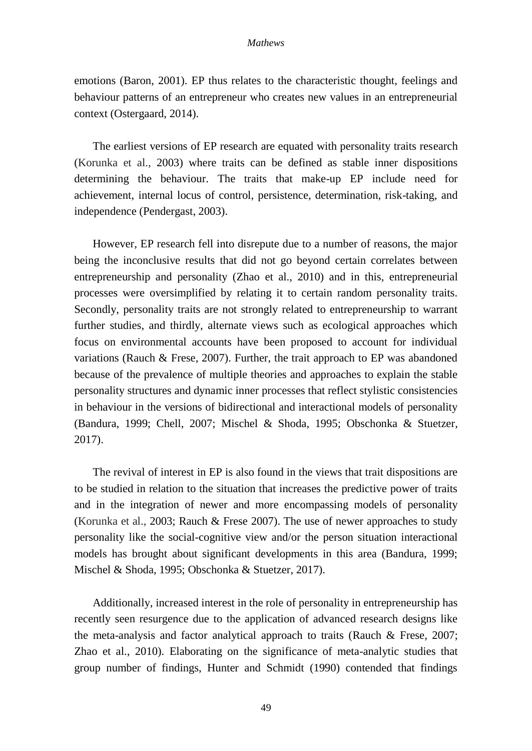emotions (Baron, 2001). EP thus relates to the characteristic thought, feelings and behaviour patterns of an entrepreneur who creates new values in an entrepreneurial context (Ostergaard, 2014).

The earliest versions of EP research are equated with personality traits research (Korunka et al., 2003) where traits can be defined as stable inner dispositions determining the behaviour. The traits that make-up EP include need for achievement, internal locus of control, persistence, determination, risk-taking, and independence (Pendergast, 2003).

However, EP research fell into disrepute due to a number of reasons, the major being the inconclusive results that did not go beyond certain correlates between entrepreneurship and personality (Zhao et al., 2010) and in this, entrepreneurial processes were oversimplified by relating it to certain random personality traits. Secondly, personality traits are not strongly related to entrepreneurship to warrant further studies, and thirdly, alternate views such as ecological approaches which focus on environmental accounts have been proposed to account for individual variations (Rauch & Frese, 2007). Further, the trait approach to EP was abandoned because of the prevalence of multiple theories and approaches to explain the stable personality structures and dynamic inner processes that reflect stylistic consistencies in behaviour in the versions of bidirectional and interactional models of personality (Bandura, 1999; Chell, 2007; Mischel & Shoda, 1995; Obschonka & Stuetzer, 2017).

The revival of interest in EP is also found in the views that trait dispositions are to be studied in relation to the situation that increases the predictive power of traits and in the integration of newer and more encompassing models of personality (Korunka et al., 2003; Rauch & Frese 2007). The use of newer approaches to study personality like the social-cognitive view and/or the person situation interactional models has brought about significant developments in this area (Bandura, 1999; Mischel & Shoda, 1995; Obschonka & Stuetzer, 2017).

Additionally, increased interest in the role of personality in entrepreneurship has recently seen resurgence due to the application of advanced research designs like the meta-analysis and factor analytical approach to traits (Rauch & Frese, 2007; Zhao et al., 2010). Elaborating on the significance of meta-analytic studies that group number of findings, Hunter and Schmidt (1990) contended that findings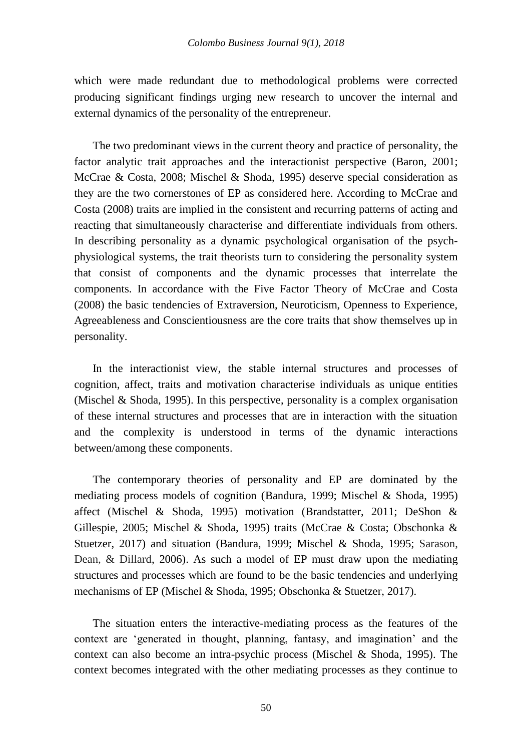which were made redundant due to methodological problems were corrected producing significant findings urging new research to uncover the internal and external dynamics of the personality of the entrepreneur.

The two predominant views in the current theory and practice of personality, the factor analytic trait approaches and the interactionist perspective (Baron, 2001; McCrae & Costa, 2008; Mischel & Shoda, 1995) deserve special consideration as they are the two cornerstones of EP as considered here. According to McCrae and Costa (2008) traits are implied in the consistent and recurring patterns of acting and reacting that simultaneously characterise and differentiate individuals from others. In describing personality as a dynamic psychological organisation of the psychphysiological systems, the trait theorists turn to considering the personality system that consist of components and the dynamic processes that interrelate the components. In accordance with the Five Factor Theory of McCrae and Costa (2008) the basic tendencies of Extraversion, Neuroticism, Openness to Experience, Agreeableness and Conscientiousness are the core traits that show themselves up in personality.

In the interactionist view, the stable internal structures and processes of cognition, affect, traits and motivation characterise individuals as unique entities (Mischel & Shoda, 1995). In this perspective, personality is a complex organisation of these internal structures and processes that are in interaction with the situation and the complexity is understood in terms of the dynamic interactions between/among these components.

The contemporary theories of personality and EP are dominated by the mediating process models of cognition (Bandura, 1999; Mischel & Shoda, 1995) affect (Mischel & Shoda, 1995) motivation (Brandstatter, 2011; DeShon & Gillespie, 2005; Mischel & Shoda, 1995) traits (McCrae & Costa; Obschonka & Stuetzer, 2017) and situation (Bandura, 1999; Mischel & Shoda, 1995; Sarason, Dean, & Dillard, 2006). As such a model of EP must draw upon the mediating structures and processes which are found to be the basic tendencies and underlying mechanisms of EP (Mischel & Shoda, 1995; Obschonka & Stuetzer, 2017).

The situation enters the interactive-mediating process as the features of the context are 'generated in thought, planning, fantasy, and imagination' and the context can also become an intra-psychic process (Mischel & Shoda, 1995). The context becomes integrated with the other mediating processes as they continue to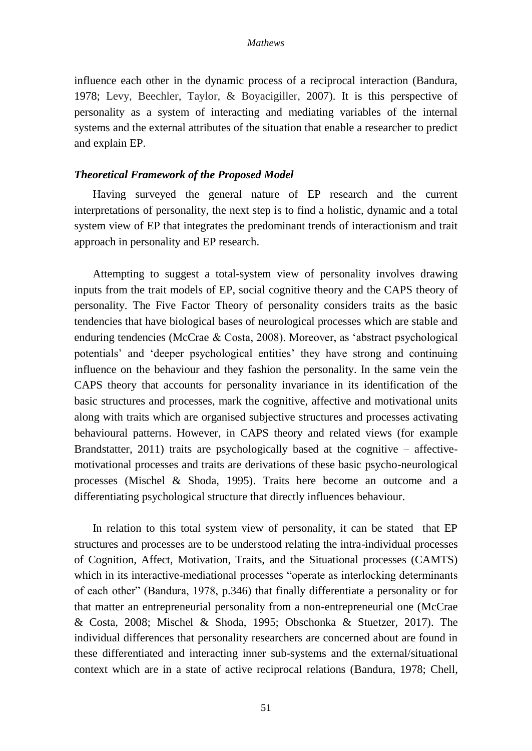influence each other in the dynamic process of a reciprocal interaction (Bandura, 1978; Levy, Beechler, Taylor, & Boyacigiller, 2007). It is this perspective of personality as a system of interacting and mediating variables of the internal systems and the external attributes of the situation that enable a researcher to predict and explain EP.

## *Theoretical Framework of the Proposed Model*

Having surveyed the general nature of EP research and the current interpretations of personality, the next step is to find a holistic, dynamic and a total system view of EP that integrates the predominant trends of interactionism and trait approach in personality and EP research.

Attempting to suggest a total-system view of personality involves drawing inputs from the trait models of EP, social cognitive theory and the CAPS theory of personality. The Five Factor Theory of personality considers traits as the basic tendencies that have biological bases of neurological processes which are stable and enduring tendencies (McCrae & Costa, 2008). Moreover, as 'abstract psychological potentials' and 'deeper psychological entities' they have strong and continuing influence on the behaviour and they fashion the personality. In the same vein the CAPS theory that accounts for personality invariance in its identification of the basic structures and processes, mark the cognitive, affective and motivational units along with traits which are organised subjective structures and processes activating behavioural patterns. However, in CAPS theory and related views (for example Brandstatter, 2011) traits are psychologically based at the cognitive – affectivemotivational processes and traits are derivations of these basic psycho-neurological processes (Mischel & Shoda, 1995). Traits here become an outcome and a differentiating psychological structure that directly influences behaviour.

In relation to this total system view of personality, it can be stated that EP structures and processes are to be understood relating the intra-individual processes of Cognition, Affect, Motivation, Traits, and the Situational processes (CAMTS) which in its interactive-mediational processes "operate as interlocking determinants of each other" (Bandura, 1978, p.346) that finally differentiate a personality or for that matter an entrepreneurial personality from a non-entrepreneurial one (McCrae & Costa, 2008; Mischel & Shoda, 1995; Obschonka & Stuetzer, 2017). The individual differences that personality researchers are concerned about are found in these differentiated and interacting inner sub-systems and the external/situational context which are in a state of active reciprocal relations (Bandura, 1978; Chell,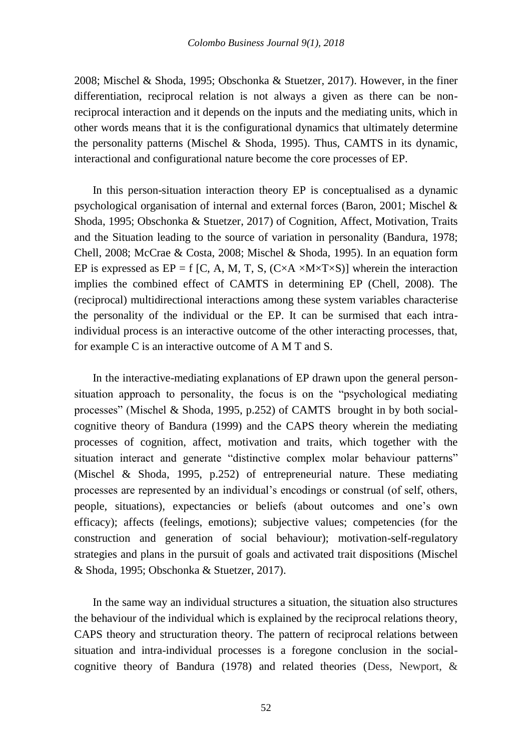2008; Mischel & Shoda, 1995; Obschonka & Stuetzer, 2017). However, in the finer differentiation, reciprocal relation is not always a given as there can be nonreciprocal interaction and it depends on the inputs and the mediating units, which in other words means that it is the configurational dynamics that ultimately determine the personality patterns (Mischel & Shoda, 1995). Thus, CAMTS in its dynamic, interactional and configurational nature become the core processes of EP.

In this person-situation interaction theory EP is conceptualised as a dynamic psychological organisation of internal and external forces (Baron, 2001; Mischel & Shoda, 1995; Obschonka & Stuetzer, 2017) of Cognition, Affect, Motivation, Traits and the Situation leading to the source of variation in personality (Bandura, 1978; Chell, 2008; McCrae & Costa, 2008; Mischel & Shoda, 1995). In an equation form EP is expressed as  $EP = f [C, A, M, T, S, (C \times A \times M \times T \times S)]$  wherein the interaction implies the combined effect of CAMTS in determining EP (Chell, 2008). The (reciprocal) multidirectional interactions among these system variables characterise the personality of the individual or the EP. It can be surmised that each intraindividual process is an interactive outcome of the other interacting processes, that, for example C is an interactive outcome of A M T and S.

In the interactive-mediating explanations of EP drawn upon the general personsituation approach to personality, the focus is on the "psychological mediating processes" (Mischel & Shoda, 1995, p.252) of CAMTS brought in by both socialcognitive theory of Bandura (1999) and the CAPS theory wherein the mediating processes of cognition, affect, motivation and traits, which together with the situation interact and generate "distinctive complex molar behaviour patterns" (Mischel & Shoda, 1995, p.252) of entrepreneurial nature. These mediating processes are represented by an individual's encodings or construal (of self, others, people, situations), expectancies or beliefs (about outcomes and one's own efficacy); affects (feelings, emotions); subjective values; competencies (for the construction and generation of social behaviour); motivation-self-regulatory strategies and plans in the pursuit of goals and activated trait dispositions (Mischel & Shoda, 1995; Obschonka & Stuetzer, 2017).

In the same way an individual structures a situation, the situation also structures the behaviour of the individual which is explained by the reciprocal relations theory, CAPS theory and structuration theory. The pattern of reciprocal relations between situation and intra-individual processes is a foregone conclusion in the socialcognitive theory of Bandura (1978) and related theories (Dess, Newport, &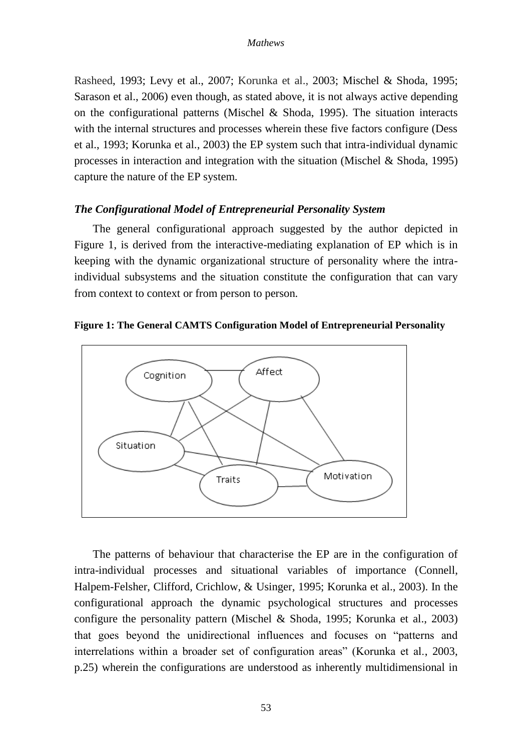Rasheed, 1993; Levy et al., 2007; Korunka et al., 2003; Mischel & Shoda, 1995; Sarason et al., 2006) even though, as stated above, it is not always active depending on the configurational patterns (Mischel & Shoda, 1995). The situation interacts with the internal structures and processes wherein these five factors configure (Dess et al., 1993; Korunka et al., 2003) the EP system such that intra-individual dynamic processes in interaction and integration with the situation (Mischel & Shoda, 1995) capture the nature of the EP system.

## *The Configurational Model of Entrepreneurial Personality System*

The general configurational approach suggested by the author depicted in Figure 1, is derived from the interactive-mediating explanation of EP which is in keeping with the dynamic organizational structure of personality where the intraindividual subsystems and the situation constitute the configuration that can vary from context to context or from person to person.



**Figure 1: The General CAMTS Configuration Model of Entrepreneurial Personality**

The patterns of behaviour that characterise the EP are in the configuration of intra-individual processes and situational variables of importance (Connell, Halpem-Felsher, Clifford, Crichlow, & Usinger, 1995; Korunka et al., 2003). In the configurational approach the dynamic psychological structures and processes configure the personality pattern (Mischel & Shoda, 1995; Korunka et al., 2003) that goes beyond the unidirectional influences and focuses on "patterns and interrelations within a broader set of configuration areas" (Korunka et al., 2003, p.25) wherein the configurations are understood as inherently multidimensional in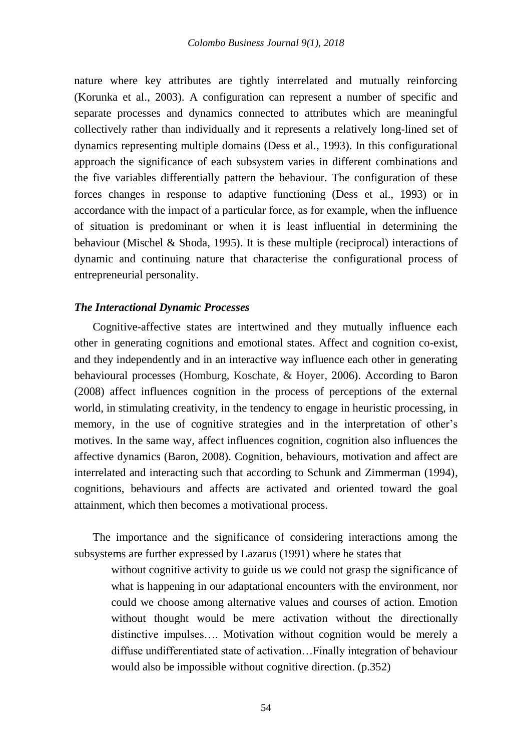nature where key attributes are tightly interrelated and mutually reinforcing (Korunka et al., 2003). A configuration can represent a number of specific and separate processes and dynamics connected to attributes which are meaningful collectively rather than individually and it represents a relatively long-lined set of dynamics representing multiple domains (Dess et al., 1993). In this configurational approach the significance of each subsystem varies in different combinations and the five variables differentially pattern the behaviour. The configuration of these forces changes in response to adaptive functioning (Dess et al., 1993) or in accordance with the impact of a particular force, as for example, when the influence of situation is predominant or when it is least influential in determining the behaviour (Mischel & Shoda, 1995). It is these multiple (reciprocal) interactions of dynamic and continuing nature that characterise the configurational process of entrepreneurial personality.

## *The Interactional Dynamic Processes*

Cognitive-affective states are intertwined and they mutually influence each other in generating cognitions and emotional states. Affect and cognition co-exist, and they independently and in an interactive way influence each other in generating behavioural processes (Homburg, Koschate, & Hoyer, 2006). According to Baron (2008) affect influences cognition in the process of perceptions of the external world, in stimulating creativity, in the tendency to engage in heuristic processing, in memory, in the use of cognitive strategies and in the interpretation of other's motives. In the same way, affect influences cognition, cognition also influences the affective dynamics (Baron, 2008). Cognition, behaviours, motivation and affect are interrelated and interacting such that according to Schunk and Zimmerman (1994), cognitions, behaviours and affects are activated and oriented toward the goal attainment, which then becomes a motivational process.

The importance and the significance of considering interactions among the subsystems are further expressed by Lazarus (1991) where he states that

without cognitive activity to guide us we could not grasp the significance of what is happening in our adaptational encounters with the environment, nor could we choose among alternative values and courses of action. Emotion without thought would be mere activation without the directionally distinctive impulses…. Motivation without cognition would be merely a diffuse undifferentiated state of activation…Finally integration of behaviour would also be impossible without cognitive direction. (p.352)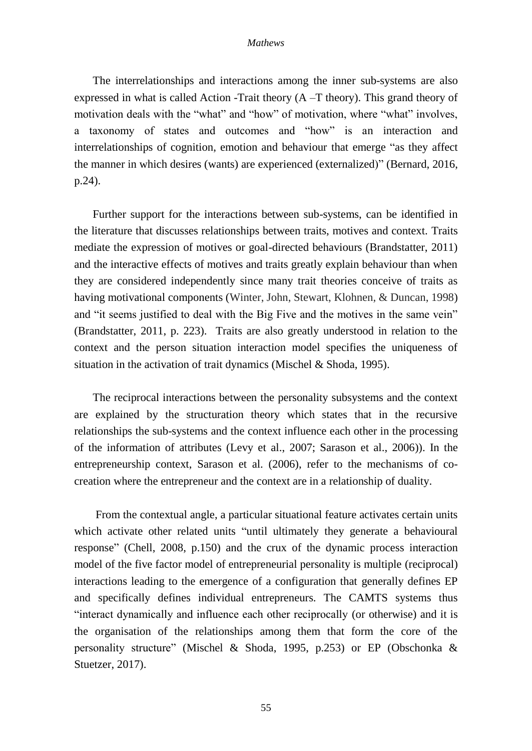The interrelationships and interactions among the inner sub-systems are also expressed in what is called Action -Trait theory (A –T theory). This grand theory of motivation deals with the "what" and "how" of motivation, where "what" involves, a taxonomy of states and outcomes and "how" is an interaction and interrelationships of cognition, emotion and behaviour that emerge "as they affect the manner in which desires (wants) are experienced (externalized)" (Bernard, 2016, p.24).

Further support for the interactions between sub-systems, can be identified in the literature that discusses relationships between traits, motives and context. Traits mediate the expression of motives or goal-directed behaviours (Brandstatter, 2011) and the interactive effects of motives and traits greatly explain behaviour than when they are considered independently since many trait theories conceive of traits as having motivational components (Winter, John, Stewart, Klohnen, & Duncan, 1998) and "it seems justified to deal with the Big Five and the motives in the same vein" (Brandstatter, 2011, p. 223). Traits are also greatly understood in relation to the context and the person situation interaction model specifies the uniqueness of situation in the activation of trait dynamics (Mischel & Shoda, 1995).

The reciprocal interactions between the personality subsystems and the context are explained by the structuration theory which states that in the recursive relationships the sub-systems and the context influence each other in the processing of the information of attributes (Levy et al., 2007; Sarason et al., 2006)). In the entrepreneurship context, Sarason et al. (2006), refer to the mechanisms of cocreation where the entrepreneur and the context are in a relationship of duality.

From the contextual angle, a particular situational feature activates certain units which activate other related units "until ultimately they generate a behavioural response" (Chell, 2008, p.150) and the crux of the dynamic process interaction model of the five factor model of entrepreneurial personality is multiple (reciprocal) interactions leading to the emergence of a configuration that generally defines EP and specifically defines individual entrepreneurs. The CAMTS systems thus "interact dynamically and influence each other reciprocally (or otherwise) and it is the organisation of the relationships among them that form the core of the personality structure" (Mischel & Shoda, 1995, p.253) or EP (Obschonka & Stuetzer, 2017).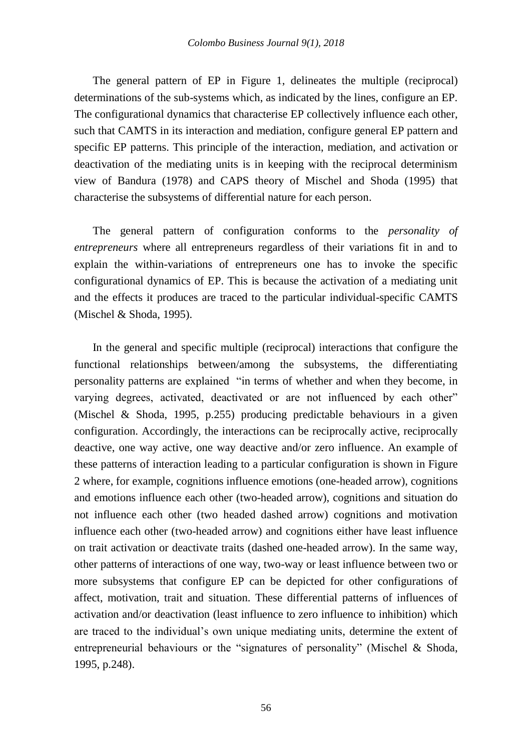The general pattern of EP in Figure 1, delineates the multiple (reciprocal) determinations of the sub-systems which, as indicated by the lines, configure an EP. The configurational dynamics that characterise EP collectively influence each other, such that CAMTS in its interaction and mediation, configure general EP pattern and specific EP patterns. This principle of the interaction, mediation, and activation or deactivation of the mediating units is in keeping with the reciprocal determinism view of Bandura (1978) and CAPS theory of Mischel and Shoda (1995) that characterise the subsystems of differential nature for each person.

The general pattern of configuration conforms to the *personality of entrepreneurs* where all entrepreneurs regardless of their variations fit in and to explain the within-variations of entrepreneurs one has to invoke the specific configurational dynamics of EP. This is because the activation of a mediating unit and the effects it produces are traced to the particular individual-specific CAMTS (Mischel & Shoda, 1995).

In the general and specific multiple (reciprocal) interactions that configure the functional relationships between/among the subsystems, the differentiating personality patterns are explained "in terms of whether and when they become, in varying degrees, activated, deactivated or are not influenced by each other" (Mischel & Shoda, 1995, p.255) producing predictable behaviours in a given configuration. Accordingly, the interactions can be reciprocally active, reciprocally deactive, one way active, one way deactive and/or zero influence. An example of these patterns of interaction leading to a particular configuration is shown in Figure 2 where, for example, cognitions influence emotions (one-headed arrow), cognitions and emotions influence each other (two-headed arrow), cognitions and situation do not influence each other (two headed dashed arrow) cognitions and motivation influence each other (two-headed arrow) and cognitions either have least influence on trait activation or deactivate traits (dashed one-headed arrow). In the same way, other patterns of interactions of one way, two-way or least influence between two or more subsystems that configure EP can be depicted for other configurations of affect, motivation, trait and situation. These differential patterns of influences of activation and/or deactivation (least influence to zero influence to inhibition) which are traced to the individual's own unique mediating units, determine the extent of entrepreneurial behaviours or the "signatures of personality" (Mischel & Shoda, 1995, p.248).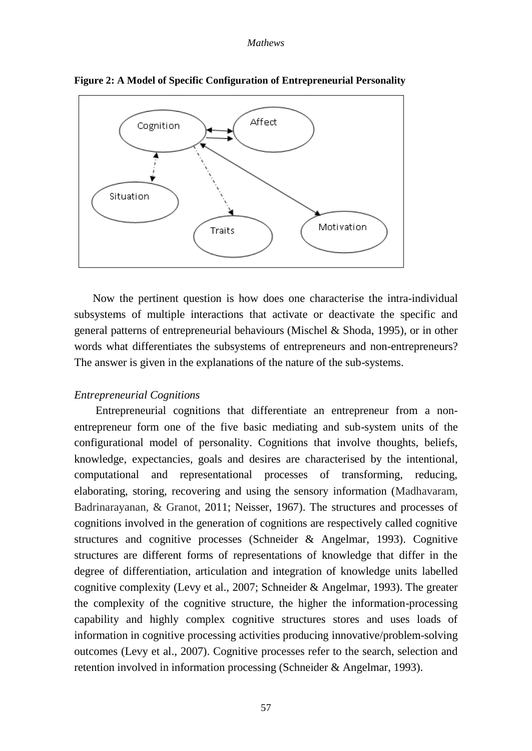

**Figure 2: A Model of Specific Configuration of Entrepreneurial Personality**

Now the pertinent question is how does one characterise the intra-individual subsystems of multiple interactions that activate or deactivate the specific and general patterns of entrepreneurial behaviours (Mischel & Shoda, 1995), or in other words what differentiates the subsystems of entrepreneurs and non-entrepreneurs? The answer is given in the explanations of the nature of the sub-systems.

## *Entrepreneurial Cognitions*

Entrepreneurial cognitions that differentiate an entrepreneur from a nonentrepreneur form one of the five basic mediating and sub-system units of the configurational model of personality. Cognitions that involve thoughts, beliefs, knowledge, expectancies, goals and desires are characterised by the intentional, computational and representational processes of transforming, reducing, elaborating, storing, recovering and using the sensory information (Madhavaram, Badrinarayanan, & Granot, 2011; Neisser, 1967). The structures and processes of cognitions involved in the generation of cognitions are respectively called cognitive structures and cognitive processes (Schneider & Angelmar, 1993). Cognitive structures are different forms of representations of knowledge that differ in the degree of differentiation, articulation and integration of knowledge units labelled cognitive complexity (Levy et al., 2007; Schneider & Angelmar, 1993). The greater the complexity of the cognitive structure, the higher the information-processing capability and highly complex cognitive structures stores and uses loads of information in cognitive processing activities producing innovative/problem-solving outcomes (Levy et al., 2007). Cognitive processes refer to the search, selection and retention involved in information processing (Schneider & Angelmar, 1993).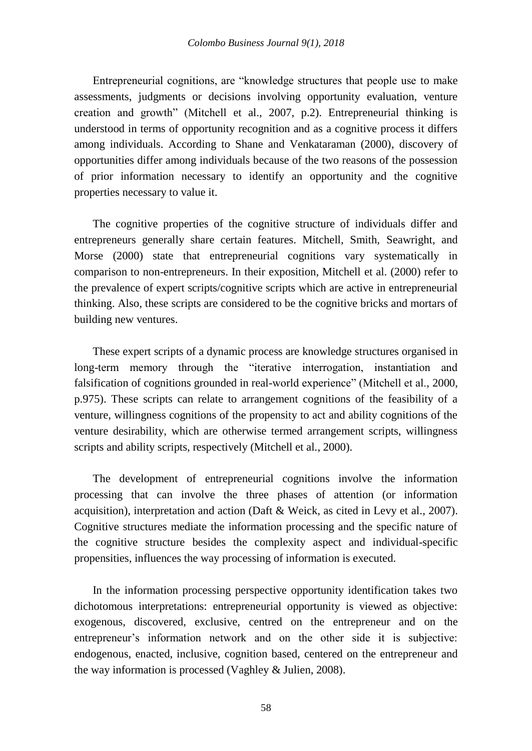Entrepreneurial cognitions, are "knowledge structures that people use to make assessments, judgments or decisions involving opportunity evaluation, venture creation and growth" (Mitchell et al., 2007, p.2). Entrepreneurial thinking is understood in terms of opportunity recognition and as a cognitive process it differs among individuals. According to Shane and Venkataraman (2000), discovery of opportunities differ among individuals because of the two reasons of the possession of prior information necessary to identify an opportunity and the cognitive properties necessary to value it.

The cognitive properties of the cognitive structure of individuals differ and entrepreneurs generally share certain features. Mitchell, Smith, Seawright, and Morse (2000) state that entrepreneurial cognitions vary systematically in comparison to non-entrepreneurs. In their exposition, Mitchell et al. (2000) refer to the prevalence of expert scripts/cognitive scripts which are active in entrepreneurial thinking. Also, these scripts are considered to be the cognitive bricks and mortars of building new ventures.

These expert scripts of a dynamic process are knowledge structures organised in long-term memory through the "iterative interrogation, instantiation and falsification of cognitions grounded in real-world experience" (Mitchell et al., 2000, p.975). These scripts can relate to arrangement cognitions of the feasibility of a venture, willingness cognitions of the propensity to act and ability cognitions of the venture desirability, which are otherwise termed arrangement scripts, willingness scripts and ability scripts, respectively (Mitchell et al., 2000).

The development of entrepreneurial cognitions involve the information processing that can involve the three phases of attention (or information acquisition), interpretation and action (Daft & Weick, as cited in Levy et al., 2007). Cognitive structures mediate the information processing and the specific nature of the cognitive structure besides the complexity aspect and individual-specific propensities, influences the way processing of information is executed.

In the information processing perspective opportunity identification takes two dichotomous interpretations: entrepreneurial opportunity is viewed as objective: exogenous, discovered, exclusive, centred on the entrepreneur and on the entrepreneur's information network and on the other side it is subjective: endogenous, enacted, inclusive, cognition based, centered on the entrepreneur and the way information is processed (Vaghley & Julien, 2008).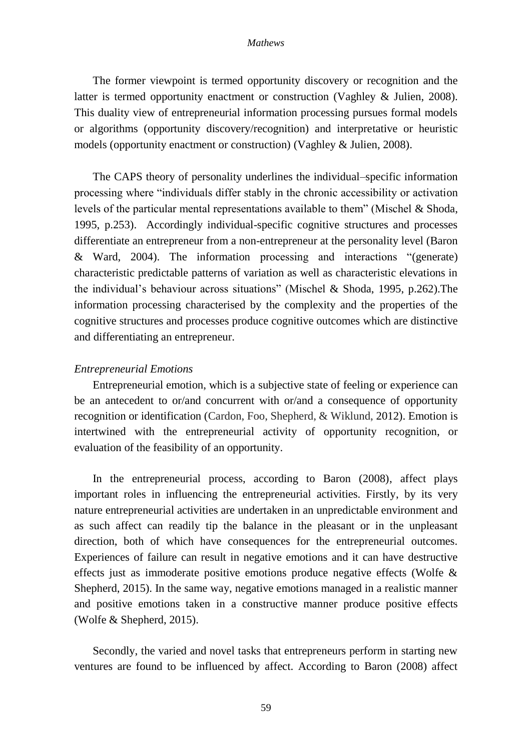The former viewpoint is termed opportunity discovery or recognition and the latter is termed opportunity enactment or construction (Vaghley & Julien, 2008). This duality view of entrepreneurial information processing pursues formal models or algorithms (opportunity discovery/recognition) and interpretative or heuristic models (opportunity enactment or construction) (Vaghley & Julien, 2008).

The CAPS theory of personality underlines the individual–specific information processing where "individuals differ stably in the chronic accessibility or activation levels of the particular mental representations available to them" (Mischel & Shoda, 1995, p.253). Accordingly individual-specific cognitive structures and processes differentiate an entrepreneur from a non-entrepreneur at the personality level (Baron & Ward, 2004). The information processing and interactions "(generate) characteristic predictable patterns of variation as well as characteristic elevations in the individual's behaviour across situations" (Mischel & Shoda, 1995, p.262).The information processing characterised by the complexity and the properties of the cognitive structures and processes produce cognitive outcomes which are distinctive and differentiating an entrepreneur.

## *Entrepreneurial Emotions*

Entrepreneurial emotion, which is a subjective state of feeling or experience can be an antecedent to or/and concurrent with or/and a consequence of opportunity recognition or identification (Cardon, Foo, Shepherd, & Wiklund, 2012). Emotion is intertwined with the entrepreneurial activity of opportunity recognition, or evaluation of the feasibility of an opportunity.

In the entrepreneurial process, according to Baron (2008), affect plays important roles in influencing the entrepreneurial activities. Firstly, by its very nature entrepreneurial activities are undertaken in an unpredictable environment and as such affect can readily tip the balance in the pleasant or in the unpleasant direction, both of which have consequences for the entrepreneurial outcomes. Experiences of failure can result in negative emotions and it can have destructive effects just as immoderate positive emotions produce negative effects (Wolfe & Shepherd, 2015). In the same way, negative emotions managed in a realistic manner and positive emotions taken in a constructive manner produce positive effects (Wolfe & Shepherd, 2015).

Secondly, the varied and novel tasks that entrepreneurs perform in starting new ventures are found to be influenced by affect. According to Baron (2008) affect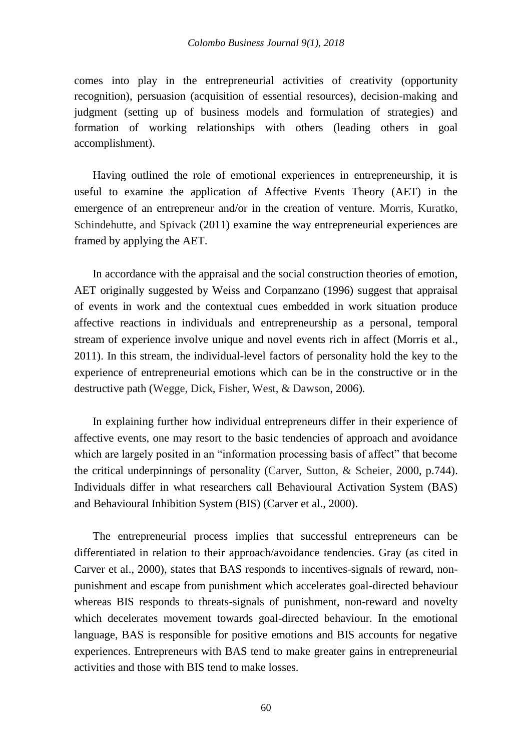comes into play in the entrepreneurial activities of creativity (opportunity recognition), persuasion (acquisition of essential resources), decision-making and judgment (setting up of business models and formulation of strategies) and formation of working relationships with others (leading others in goal accomplishment).

Having outlined the role of emotional experiences in entrepreneurship, it is useful to examine the application of Affective Events Theory (AET) in the emergence of an entrepreneur and/or in the creation of venture. Morris, Kuratko, Schindehutte, and Spivack (2011) examine the way entrepreneurial experiences are framed by applying the AET.

In accordance with the appraisal and the social construction theories of emotion, AET originally suggested by Weiss and Corpanzano (1996) suggest that appraisal of events in work and the contextual cues embedded in work situation produce affective reactions in individuals and entrepreneurship as a personal, temporal stream of experience involve unique and novel events rich in affect (Morris et al., 2011). In this stream, the individual-level factors of personality hold the key to the experience of entrepreneurial emotions which can be in the constructive or in the destructive path (Wegge, Dick, Fisher, West, & Dawson, 2006).

In explaining further how individual entrepreneurs differ in their experience of affective events, one may resort to the basic tendencies of approach and avoidance which are largely posited in an "information processing basis of affect" that become the critical underpinnings of personality (Carver, Sutton, & Scheier, 2000, p.744). Individuals differ in what researchers call Behavioural Activation System (BAS) and Behavioural Inhibition System (BIS) (Carver et al., 2000).

The entrepreneurial process implies that successful entrepreneurs can be differentiated in relation to their approach/avoidance tendencies. Gray (as cited in Carver et al., 2000), states that BAS responds to incentives-signals of reward, nonpunishment and escape from punishment which accelerates goal-directed behaviour whereas BIS responds to threats-signals of punishment, non-reward and novelty which decelerates movement towards goal-directed behaviour. In the emotional language, BAS is responsible for positive emotions and BIS accounts for negative experiences. Entrepreneurs with BAS tend to make greater gains in entrepreneurial activities and those with BIS tend to make losses.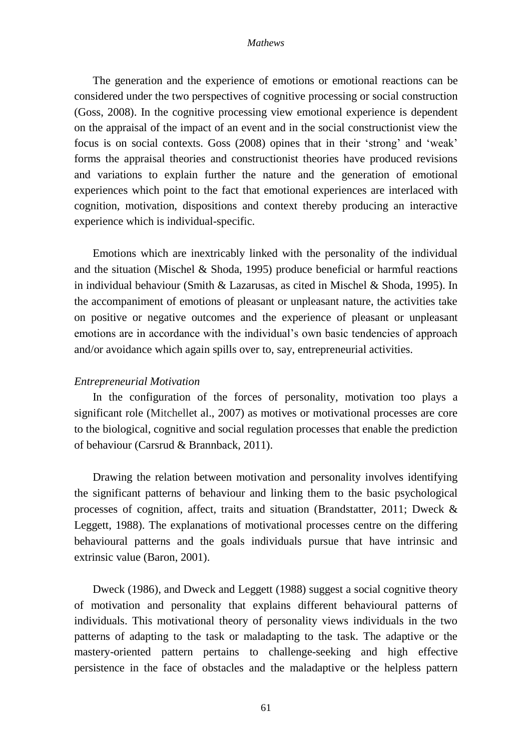The generation and the experience of emotions or emotional reactions can be considered under the two perspectives of cognitive processing or social construction (Goss, 2008). In the cognitive processing view emotional experience is dependent on the appraisal of the impact of an event and in the social constructionist view the focus is on social contexts. Goss (2008) opines that in their 'strong' and 'weak' forms the appraisal theories and constructionist theories have produced revisions and variations to explain further the nature and the generation of emotional experiences which point to the fact that emotional experiences are interlaced with cognition, motivation, dispositions and context thereby producing an interactive experience which is individual-specific.

Emotions which are inextricably linked with the personality of the individual and the situation (Mischel & Shoda, 1995) produce beneficial or harmful reactions in individual behaviour (Smith & Lazarusas, as cited in Mischel & Shoda, 1995). In the accompaniment of emotions of pleasant or unpleasant nature, the activities take on positive or negative outcomes and the experience of pleasant or unpleasant emotions are in accordance with the individual's own basic tendencies of approach and/or avoidance which again spills over to, say, entrepreneurial activities.

### *Entrepreneurial Motivation*

In the configuration of the forces of personality, motivation too plays a significant role (Mitchellet al., 2007) as motives or motivational processes are core to the biological, cognitive and social regulation processes that enable the prediction of behaviour (Carsrud & Brannback, 2011).

Drawing the relation between motivation and personality involves identifying the significant patterns of behaviour and linking them to the basic psychological processes of cognition, affect, traits and situation (Brandstatter, 2011; Dweck & Leggett, 1988). The explanations of motivational processes centre on the differing behavioural patterns and the goals individuals pursue that have intrinsic and extrinsic value (Baron, 2001).

Dweck (1986), and Dweck and Leggett (1988) suggest a social cognitive theory of motivation and personality that explains different behavioural patterns of individuals. This motivational theory of personality views individuals in the two patterns of adapting to the task or maladapting to the task. The adaptive or the mastery-oriented pattern pertains to challenge-seeking and high effective persistence in the face of obstacles and the maladaptive or the helpless pattern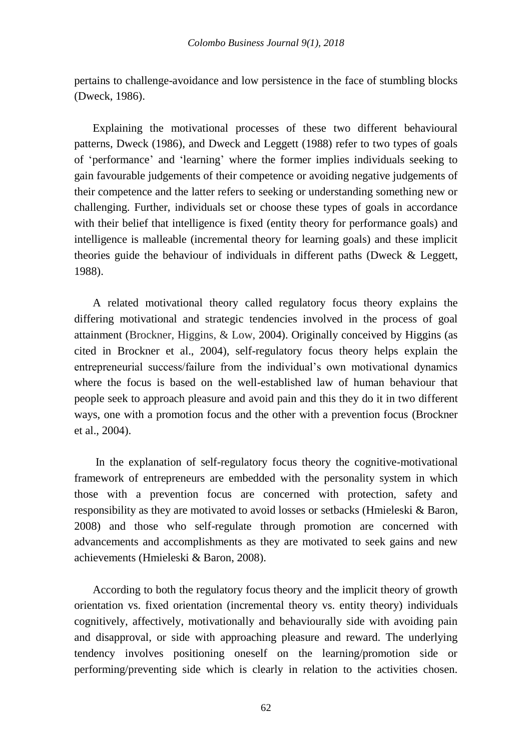pertains to challenge-avoidance and low persistence in the face of stumbling blocks (Dweck, 1986).

Explaining the motivational processes of these two different behavioural patterns, Dweck (1986), and Dweck and Leggett (1988) refer to two types of goals of 'performance' and 'learning' where the former implies individuals seeking to gain favourable judgements of their competence or avoiding negative judgements of their competence and the latter refers to seeking or understanding something new or challenging. Further, individuals set or choose these types of goals in accordance with their belief that intelligence is fixed (entity theory for performance goals) and intelligence is malleable (incremental theory for learning goals) and these implicit theories guide the behaviour of individuals in different paths (Dweck & Leggett, 1988).

A related motivational theory called regulatory focus theory explains the differing motivational and strategic tendencies involved in the process of goal attainment (Brockner, Higgins, & Low, 2004). Originally conceived by Higgins (as cited in Brockner et al., 2004), self-regulatory focus theory helps explain the entrepreneurial success/failure from the individual's own motivational dynamics where the focus is based on the well-established law of human behaviour that people seek to approach pleasure and avoid pain and this they do it in two different ways, one with a promotion focus and the other with a prevention focus (Brockner et al., 2004).

In the explanation of self-regulatory focus theory the cognitive-motivational framework of entrepreneurs are embedded with the personality system in which those with a prevention focus are concerned with protection, safety and responsibility as they are motivated to avoid losses or setbacks (Hmieleski & Baron, 2008) and those who self-regulate through promotion are concerned with advancements and accomplishments as they are motivated to seek gains and new achievements (Hmieleski & Baron, 2008).

According to both the regulatory focus theory and the implicit theory of growth orientation vs. fixed orientation (incremental theory vs. entity theory) individuals cognitively, affectively, motivationally and behaviourally side with avoiding pain and disapproval, or side with approaching pleasure and reward. The underlying tendency involves positioning oneself on the learning/promotion side or performing/preventing side which is clearly in relation to the activities chosen.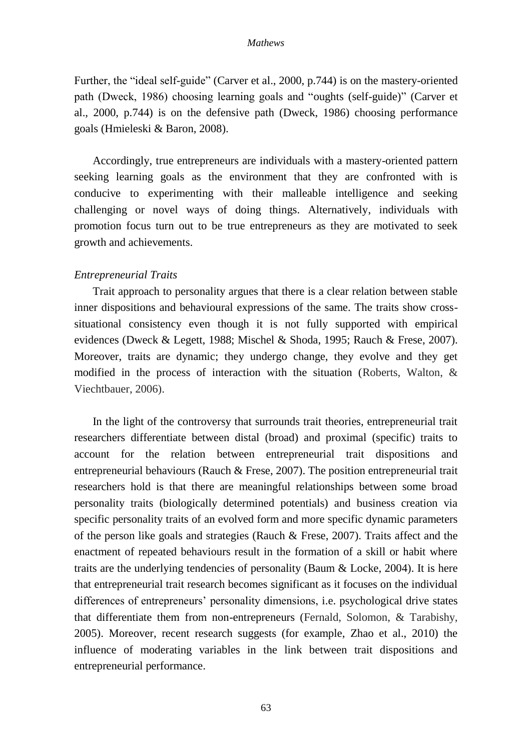Further, the "ideal self-guide" (Carver et al., 2000, p.744) is on the mastery-oriented path (Dweck, 1986) choosing learning goals and "oughts (self-guide)" (Carver et al., 2000, p.744) is on the defensive path (Dweck, 1986) choosing performance goals (Hmieleski & Baron, 2008).

Accordingly, true entrepreneurs are individuals with a mastery-oriented pattern seeking learning goals as the environment that they are confronted with is conducive to experimenting with their malleable intelligence and seeking challenging or novel ways of doing things. Alternatively, individuals with promotion focus turn out to be true entrepreneurs as they are motivated to seek growth and achievements.

## *Entrepreneurial Traits*

Trait approach to personality argues that there is a clear relation between stable inner dispositions and behavioural expressions of the same. The traits show crosssituational consistency even though it is not fully supported with empirical evidences (Dweck & Legett, 1988; Mischel & Shoda, 1995; Rauch & Frese, 2007). Moreover, traits are dynamic; they undergo change, they evolve and they get modified in the process of interaction with the situation (Roberts, Walton, & Viechtbauer, 2006).

In the light of the controversy that surrounds trait theories, entrepreneurial trait researchers differentiate between distal (broad) and proximal (specific) traits to account for the relation between entrepreneurial trait dispositions and entrepreneurial behaviours (Rauch & Frese, 2007). The position entrepreneurial trait researchers hold is that there are meaningful relationships between some broad personality traits (biologically determined potentials) and business creation via specific personality traits of an evolved form and more specific dynamic parameters of the person like goals and strategies (Rauch & Frese, 2007). Traits affect and the enactment of repeated behaviours result in the formation of a skill or habit where traits are the underlying tendencies of personality (Baum & Locke, 2004). It is here that entrepreneurial trait research becomes significant as it focuses on the individual differences of entrepreneurs' personality dimensions, i.e. psychological drive states that differentiate them from non-entrepreneurs (Fernald, Solomon, & Tarabishy, 2005). Moreover, recent research suggests (for example, Zhao et al., 2010) the influence of moderating variables in the link between trait dispositions and entrepreneurial performance.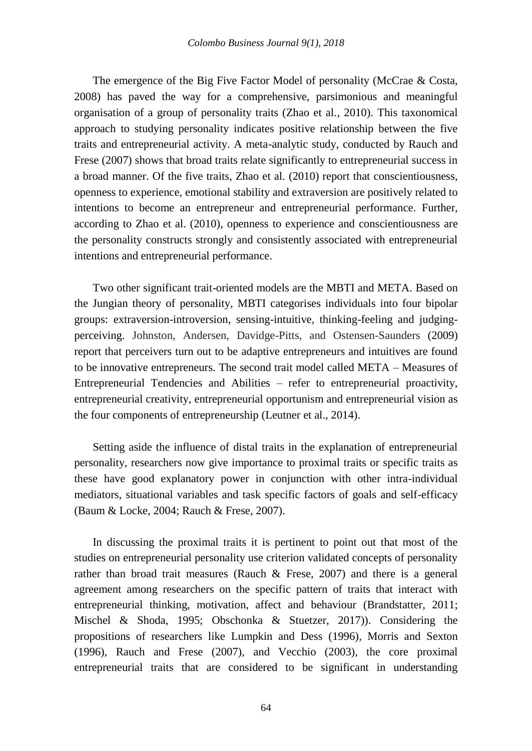The emergence of the Big Five Factor Model of personality (McCrae & Costa, 2008) has paved the way for a comprehensive, parsimonious and meaningful organisation of a group of personality traits (Zhao et al., 2010). This taxonomical approach to studying personality indicates positive relationship between the five traits and entrepreneurial activity. A meta-analytic study, conducted by Rauch and Frese (2007) shows that broad traits relate significantly to entrepreneurial success in a broad manner. Of the five traits, Zhao et al. (2010) report that conscientiousness, openness to experience, emotional stability and extraversion are positively related to intentions to become an entrepreneur and entrepreneurial performance. Further, according to Zhao et al. (2010), openness to experience and conscientiousness are the personality constructs strongly and consistently associated with entrepreneurial intentions and entrepreneurial performance.

Two other significant trait-oriented models are the MBTI and META. Based on the Jungian theory of personality, MBTI categorises individuals into four bipolar groups: extraversion-introversion, sensing-intuitive, thinking-feeling and judgingperceiving. Johnston, Andersen, Davidge-Pitts, and Ostensen-Saunders (2009) report that perceivers turn out to be adaptive entrepreneurs and intuitives are found to be innovative entrepreneurs. The second trait model called META – Measures of Entrepreneurial Tendencies and Abilities – refer to entrepreneurial proactivity, entrepreneurial creativity, entrepreneurial opportunism and entrepreneurial vision as the four components of entrepreneurship (Leutner et al., 2014).

Setting aside the influence of distal traits in the explanation of entrepreneurial personality, researchers now give importance to proximal traits or specific traits as these have good explanatory power in conjunction with other intra-individual mediators, situational variables and task specific factors of goals and self-efficacy (Baum & Locke, 2004; Rauch & Frese, 2007).

In discussing the proximal traits it is pertinent to point out that most of the studies on entrepreneurial personality use criterion validated concepts of personality rather than broad trait measures (Rauch & Frese, 2007) and there is a general agreement among researchers on the specific pattern of traits that interact with entrepreneurial thinking, motivation, affect and behaviour (Brandstatter, 2011; Mischel & Shoda, 1995; Obschonka & Stuetzer, 2017)). Considering the propositions of researchers like Lumpkin and Dess (1996), Morris and Sexton (1996), Rauch and Frese (2007), and Vecchio (2003), the core proximal entrepreneurial traits that are considered to be significant in understanding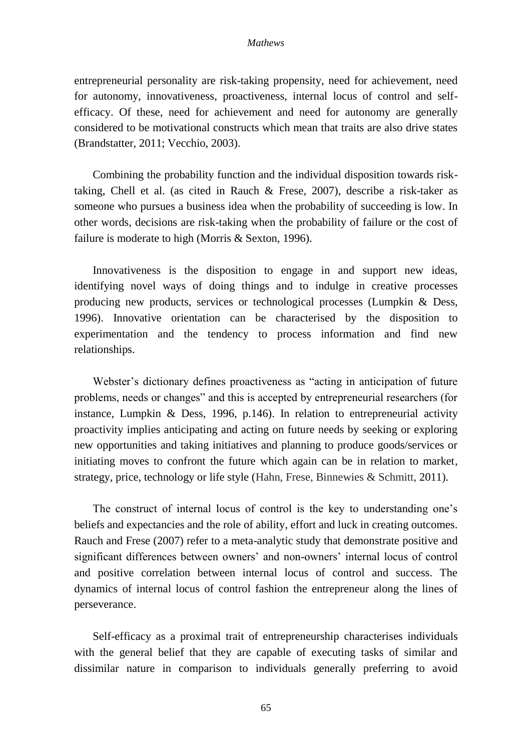entrepreneurial personality are risk-taking propensity, need for achievement, need for autonomy, innovativeness, proactiveness, internal locus of control and selfefficacy. Of these, need for achievement and need for autonomy are generally considered to be motivational constructs which mean that traits are also drive states (Brandstatter, 2011; Vecchio, 2003).

Combining the probability function and the individual disposition towards risktaking, Chell et al. (as cited in Rauch & Frese, 2007), describe a risk-taker as someone who pursues a business idea when the probability of succeeding is low. In other words, decisions are risk-taking when the probability of failure or the cost of failure is moderate to high (Morris & Sexton, 1996).

Innovativeness is the disposition to engage in and support new ideas, identifying novel ways of doing things and to indulge in creative processes producing new products, services or technological processes (Lumpkin & Dess, 1996). Innovative orientation can be characterised by the disposition to experimentation and the tendency to process information and find new relationships.

Webster's dictionary defines proactiveness as "acting in anticipation of future problems, needs or changes" and this is accepted by entrepreneurial researchers (for instance, Lumpkin & Dess, 1996, p.146). In relation to entrepreneurial activity proactivity implies anticipating and acting on future needs by seeking or exploring new opportunities and taking initiatives and planning to produce goods/services or initiating moves to confront the future which again can be in relation to market, strategy, price, technology or life style (Hahn, Frese, Binnewies & Schmitt, 2011).

The construct of internal locus of control is the key to understanding one's beliefs and expectancies and the role of ability, effort and luck in creating outcomes. Rauch and Frese (2007) refer to a meta-analytic study that demonstrate positive and significant differences between owners' and non-owners' internal locus of control and positive correlation between internal locus of control and success. The dynamics of internal locus of control fashion the entrepreneur along the lines of perseverance.

Self-efficacy as a proximal trait of entrepreneurship characterises individuals with the general belief that they are capable of executing tasks of similar and dissimilar nature in comparison to individuals generally preferring to avoid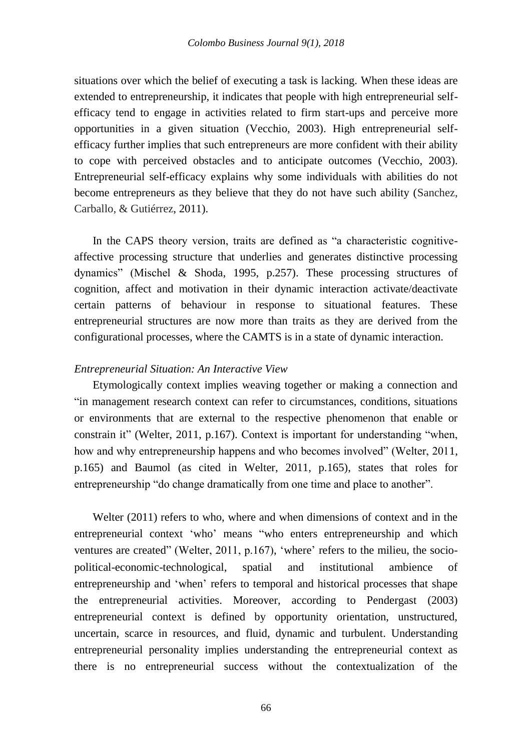situations over which the belief of executing a task is lacking. When these ideas are extended to entrepreneurship, it indicates that people with high entrepreneurial selfefficacy tend to engage in activities related to firm start-ups and perceive more opportunities in a given situation (Vecchio, 2003). High entrepreneurial selfefficacy further implies that such entrepreneurs are more confident with their ability to cope with perceived obstacles and to anticipate outcomes (Vecchio, 2003). Entrepreneurial self-efficacy explains why some individuals with abilities do not become entrepreneurs as they believe that they do not have such ability (Sanchez, Carballo, & Gutiérrez, 2011).

In the CAPS theory version, traits are defined as "a characteristic cognitiveaffective processing structure that underlies and generates distinctive processing dynamics" (Mischel & Shoda, 1995, p.257). These processing structures of cognition, affect and motivation in their dynamic interaction activate/deactivate certain patterns of behaviour in response to situational features. These entrepreneurial structures are now more than traits as they are derived from the configurational processes, where the CAMTS is in a state of dynamic interaction.

## *Entrepreneurial Situation: An Interactive View*

Etymologically context implies weaving together or making a connection and "in management research context can refer to circumstances, conditions, situations or environments that are external to the respective phenomenon that enable or constrain it" (Welter, 2011, p.167). Context is important for understanding "when, how and why entrepreneurship happens and who becomes involved" (Welter, 2011, p.165) and Baumol (as cited in Welter, 2011, p.165), states that roles for entrepreneurship "do change dramatically from one time and place to another".

Welter (2011) refers to who, where and when dimensions of context and in the entrepreneurial context 'who' means "who enters entrepreneurship and which ventures are created" (Welter, 2011, p.167), 'where' refers to the milieu, the sociopolitical-economic-technological, spatial and institutional ambience of entrepreneurship and 'when' refers to temporal and historical processes that shape the entrepreneurial activities. Moreover, according to Pendergast (2003) entrepreneurial context is defined by opportunity orientation, unstructured, uncertain, scarce in resources, and fluid, dynamic and turbulent. Understanding entrepreneurial personality implies understanding the entrepreneurial context as there is no entrepreneurial success without the contextualization of the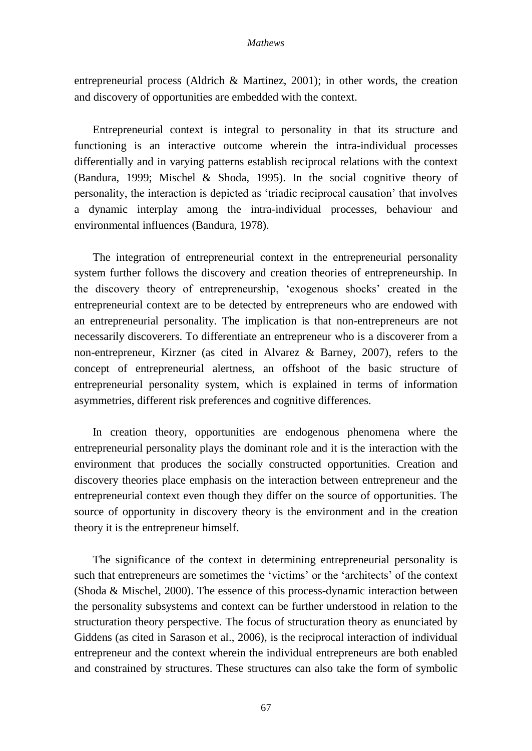entrepreneurial process (Aldrich & Martinez, 2001); in other words, the creation and discovery of opportunities are embedded with the context.

Entrepreneurial context is integral to personality in that its structure and functioning is an interactive outcome wherein the intra-individual processes differentially and in varying patterns establish reciprocal relations with the context (Bandura, 1999; Mischel & Shoda, 1995). In the social cognitive theory of personality, the interaction is depicted as 'triadic reciprocal causation' that involves a dynamic interplay among the intra-individual processes, behaviour and environmental influences (Bandura, 1978).

The integration of entrepreneurial context in the entrepreneurial personality system further follows the discovery and creation theories of entrepreneurship. In the discovery theory of entrepreneurship, 'exogenous shocks' created in the entrepreneurial context are to be detected by entrepreneurs who are endowed with an entrepreneurial personality. The implication is that non-entrepreneurs are not necessarily discoverers. To differentiate an entrepreneur who is a discoverer from a non-entrepreneur, Kirzner (as cited in Alvarez & Barney, 2007), refers to the concept of entrepreneurial alertness, an offshoot of the basic structure of entrepreneurial personality system, which is explained in terms of information asymmetries, different risk preferences and cognitive differences.

In creation theory, opportunities are endogenous phenomena where the entrepreneurial personality plays the dominant role and it is the interaction with the environment that produces the socially constructed opportunities. Creation and discovery theories place emphasis on the interaction between entrepreneur and the entrepreneurial context even though they differ on the source of opportunities. The source of opportunity in discovery theory is the environment and in the creation theory it is the entrepreneur himself.

The significance of the context in determining entrepreneurial personality is such that entrepreneurs are sometimes the 'victims' or the 'architects' of the context (Shoda & Mischel, 2000). The essence of this process-dynamic interaction between the personality subsystems and context can be further understood in relation to the structuration theory perspective. The focus of structuration theory as enunciated by Giddens (as cited in Sarason et al., 2006), is the reciprocal interaction of individual entrepreneur and the context wherein the individual entrepreneurs are both enabled and constrained by structures. These structures can also take the form of symbolic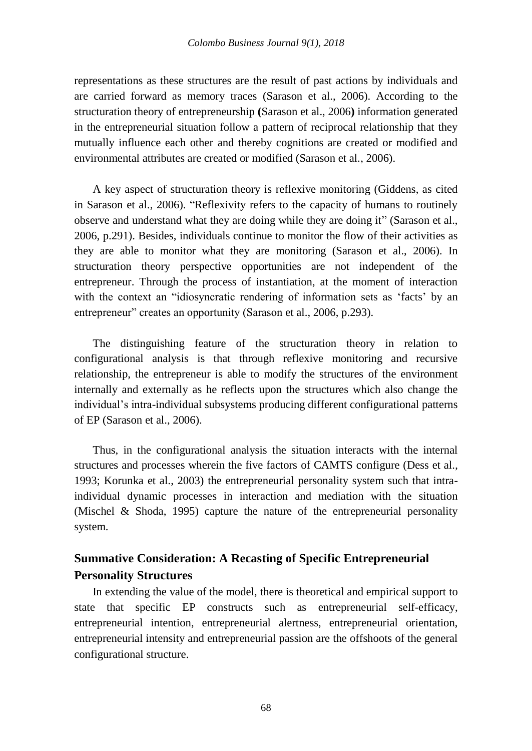representations as these structures are the result of past actions by individuals and are carried forward as memory traces (Sarason et al., 2006). According to the structuration theory of entrepreneurship **(**Sarason et al., 2006**)** information generated in the entrepreneurial situation follow a pattern of reciprocal relationship that they mutually influence each other and thereby cognitions are created or modified and environmental attributes are created or modified (Sarason et al., 2006).

A key aspect of structuration theory is reflexive monitoring (Giddens, as cited in Sarason et al., 2006). "Reflexivity refers to the capacity of humans to routinely observe and understand what they are doing while they are doing it" (Sarason et al., 2006, p.291). Besides, individuals continue to monitor the flow of their activities as they are able to monitor what they are monitoring (Sarason et al., 2006). In structuration theory perspective opportunities are not independent of the entrepreneur. Through the process of instantiation, at the moment of interaction with the context an "idiosyncratic rendering of information sets as 'facts' by an entrepreneur" creates an opportunity (Sarason et al., 2006, p.293).

The distinguishing feature of the structuration theory in relation to configurational analysis is that through reflexive monitoring and recursive relationship, the entrepreneur is able to modify the structures of the environment internally and externally as he reflects upon the structures which also change the individual's intra-individual subsystems producing different configurational patterns of EP (Sarason et al., 2006).

Thus, in the configurational analysis the situation interacts with the internal structures and processes wherein the five factors of CAMTS configure (Dess et al., 1993; Korunka et al., 2003) the entrepreneurial personality system such that intraindividual dynamic processes in interaction and mediation with the situation (Mischel & Shoda, 1995) capture the nature of the entrepreneurial personality system.

# **Summative Consideration: A Recasting of Specific Entrepreneurial Personality Structures**

In extending the value of the model, there is theoretical and empirical support to state that specific EP constructs such as entrepreneurial self-efficacy, entrepreneurial intention, entrepreneurial alertness, entrepreneurial orientation, entrepreneurial intensity and entrepreneurial passion are the offshoots of the general configurational structure.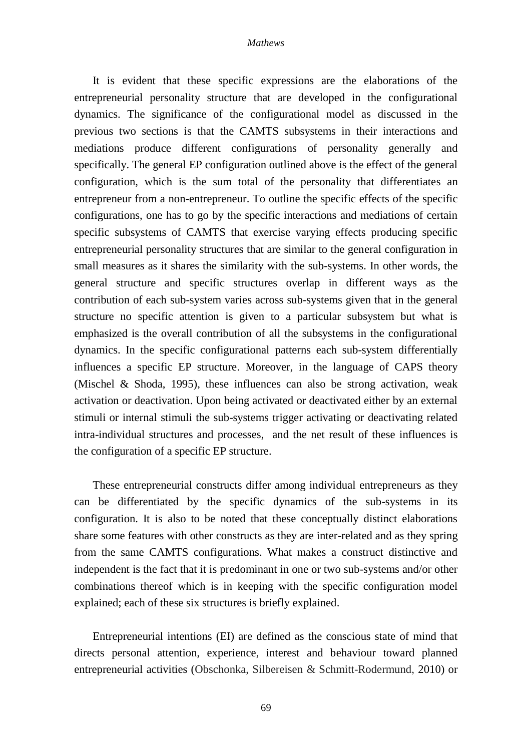It is evident that these specific expressions are the elaborations of the entrepreneurial personality structure that are developed in the configurational dynamics. The significance of the configurational model as discussed in the previous two sections is that the CAMTS subsystems in their interactions and mediations produce different configurations of personality generally and specifically. The general EP configuration outlined above is the effect of the general configuration, which is the sum total of the personality that differentiates an entrepreneur from a non-entrepreneur. To outline the specific effects of the specific configurations, one has to go by the specific interactions and mediations of certain specific subsystems of CAMTS that exercise varying effects producing specific entrepreneurial personality structures that are similar to the general configuration in small measures as it shares the similarity with the sub-systems. In other words, the general structure and specific structures overlap in different ways as the contribution of each sub-system varies across sub-systems given that in the general structure no specific attention is given to a particular subsystem but what is emphasized is the overall contribution of all the subsystems in the configurational dynamics. In the specific configurational patterns each sub-system differentially influences a specific EP structure. Moreover, in the language of CAPS theory (Mischel & Shoda, 1995), these influences can also be strong activation, weak activation or deactivation. Upon being activated or deactivated either by an external stimuli or internal stimuli the sub-systems trigger activating or deactivating related intra-individual structures and processes, and the net result of these influences is the configuration of a specific EP structure.

These entrepreneurial constructs differ among individual entrepreneurs as they can be differentiated by the specific dynamics of the sub-systems in its configuration. It is also to be noted that these conceptually distinct elaborations share some features with other constructs as they are inter-related and as they spring from the same CAMTS configurations. What makes a construct distinctive and independent is the fact that it is predominant in one or two sub-systems and/or other combinations thereof which is in keeping with the specific configuration model explained; each of these six structures is briefly explained.

Entrepreneurial intentions (EI) are defined as the conscious state of mind that directs personal attention, experience, interest and behaviour toward planned entrepreneurial activities (Obschonka, Silbereisen & Schmitt-Rodermund, 2010) or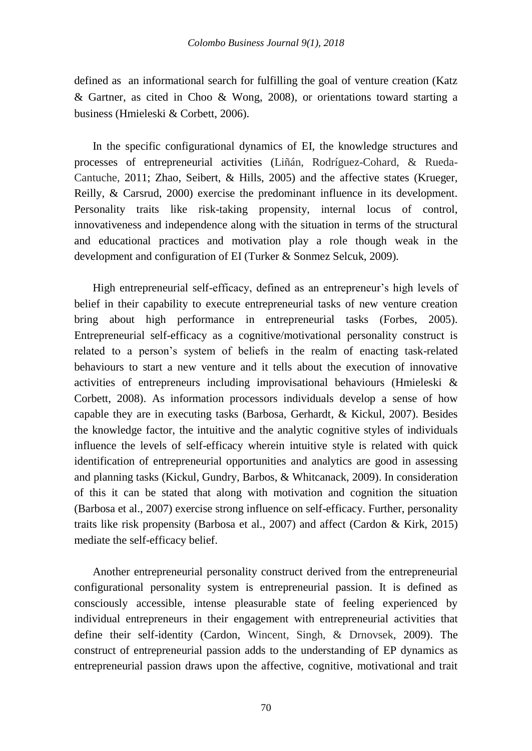defined as an informational search for fulfilling the goal of venture creation (Katz & Gartner, as cited in Choo & Wong, 2008), or orientations toward starting a business (Hmieleski & Corbett, 2006).

In the specific configurational dynamics of EI, the knowledge structures and processes of entrepreneurial activities (Liñán, Rodríguez-Cohard, & Rueda-Cantuche, 2011; Zhao, Seibert, & Hills, 2005) and the affective states (Krueger, Reilly, & Carsrud, 2000) exercise the predominant influence in its development. Personality traits like risk-taking propensity, internal locus of control, innovativeness and independence along with the situation in terms of the structural and educational practices and motivation play a role though weak in the development and configuration of EI (Turker & Sonmez Selcuk, 2009).

High entrepreneurial self-efficacy, defined as an entrepreneur's high levels of belief in their capability to execute entrepreneurial tasks of new venture creation bring about high performance in entrepreneurial tasks (Forbes, 2005). Entrepreneurial self-efficacy as a cognitive/motivational personality construct is related to a person's system of beliefs in the realm of enacting task-related behaviours to start a new venture and it tells about the execution of innovative activities of entrepreneurs including improvisational behaviours (Hmieleski & Corbett, 2008). As information processors individuals develop a sense of how capable they are in executing tasks (Barbosa, Gerhardt, & Kickul, 2007). Besides the knowledge factor, the intuitive and the analytic cognitive styles of individuals influence the levels of self-efficacy wherein intuitive style is related with quick identification of entrepreneurial opportunities and analytics are good in assessing and planning tasks (Kickul, Gundry, Barbos, & Whitcanack, 2009). In consideration of this it can be stated that along with motivation and cognition the situation (Barbosa et al., 2007) exercise strong influence on self-efficacy. Further, personality traits like risk propensity (Barbosa et al., 2007) and affect (Cardon & Kirk, 2015) mediate the self-efficacy belief.

Another entrepreneurial personality construct derived from the entrepreneurial configurational personality system is entrepreneurial passion. It is defined as consciously accessible, intense pleasurable state of feeling experienced by individual entrepreneurs in their engagement with entrepreneurial activities that define their self-identity (Cardon, Wincent, Singh, & Drnovsek, 2009). The construct of entrepreneurial passion adds to the understanding of EP dynamics as entrepreneurial passion draws upon the affective, cognitive, motivational and trait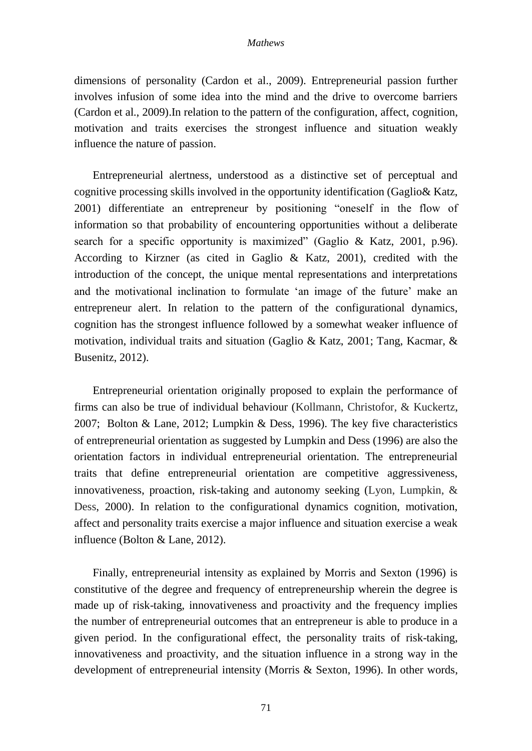dimensions of personality (Cardon et al., 2009). Entrepreneurial passion further involves infusion of some idea into the mind and the drive to overcome barriers (Cardon et al., 2009).In relation to the pattern of the configuration, affect, cognition, motivation and traits exercises the strongest influence and situation weakly influence the nature of passion.

Entrepreneurial alertness, understood as a distinctive set of perceptual and cognitive processing skills involved in the opportunity identification (Gaglio& Katz, 2001) differentiate an entrepreneur by positioning "oneself in the flow of information so that probability of encountering opportunities without a deliberate search for a specific opportunity is maximized" (Gaglio & Katz, 2001, p.96). According to Kirzner (as cited in Gaglio & Katz, 2001), credited with the introduction of the concept, the unique mental representations and interpretations and the motivational inclination to formulate 'an image of the future' make an entrepreneur alert. In relation to the pattern of the configurational dynamics, cognition has the strongest influence followed by a somewhat weaker influence of motivation, individual traits and situation (Gaglio & Katz, 2001; Tang, Kacmar, & Busenitz, 2012).

Entrepreneurial orientation originally proposed to explain the performance of firms can also be true of individual behaviour (Kollmann, Christofor, & Kuckertz, 2007; Bolton & Lane, 2012; Lumpkin & Dess, 1996). The key five characteristics of entrepreneurial orientation as suggested by Lumpkin and Dess (1996) are also the orientation factors in individual entrepreneurial orientation. The entrepreneurial traits that define entrepreneurial orientation are competitive aggressiveness, innovativeness, proaction, risk-taking and autonomy seeking (Lyon, Lumpkin, & Dess, 2000). In relation to the configurational dynamics cognition, motivation, affect and personality traits exercise a major influence and situation exercise a weak influence (Bolton & Lane, 2012).

Finally, entrepreneurial intensity as explained by Morris and Sexton (1996) is constitutive of the degree and frequency of entrepreneurship wherein the degree is made up of risk-taking, innovativeness and proactivity and the frequency implies the number of entrepreneurial outcomes that an entrepreneur is able to produce in a given period. In the configurational effect, the personality traits of risk-taking, innovativeness and proactivity, and the situation influence in a strong way in the development of entrepreneurial intensity (Morris & Sexton, 1996). In other words,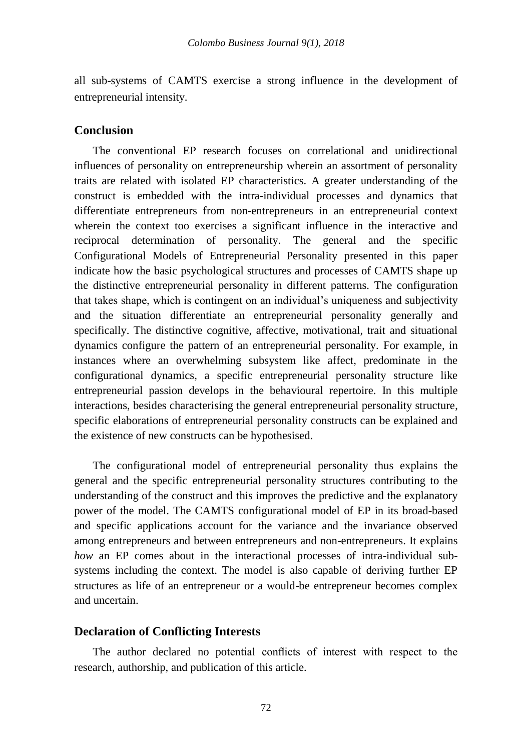all sub-systems of CAMTS exercise a strong influence in the development of entrepreneurial intensity.

# **Conclusion**

The conventional EP research focuses on correlational and unidirectional influences of personality on entrepreneurship wherein an assortment of personality traits are related with isolated EP characteristics. A greater understanding of the construct is embedded with the intra-individual processes and dynamics that differentiate entrepreneurs from non-entrepreneurs in an entrepreneurial context wherein the context too exercises a significant influence in the interactive and reciprocal determination of personality. The general and the specific Configurational Models of Entrepreneurial Personality presented in this paper indicate how the basic psychological structures and processes of CAMTS shape up the distinctive entrepreneurial personality in different patterns. The configuration that takes shape, which is contingent on an individual's uniqueness and subjectivity and the situation differentiate an entrepreneurial personality generally and specifically. The distinctive cognitive, affective, motivational, trait and situational dynamics configure the pattern of an entrepreneurial personality. For example, in instances where an overwhelming subsystem like affect, predominate in the configurational dynamics, a specific entrepreneurial personality structure like entrepreneurial passion develops in the behavioural repertoire. In this multiple interactions, besides characterising the general entrepreneurial personality structure, specific elaborations of entrepreneurial personality constructs can be explained and the existence of new constructs can be hypothesised.

The configurational model of entrepreneurial personality thus explains the general and the specific entrepreneurial personality structures contributing to the understanding of the construct and this improves the predictive and the explanatory power of the model. The CAMTS configurational model of EP in its broad-based and specific applications account for the variance and the invariance observed among entrepreneurs and between entrepreneurs and non-entrepreneurs. It explains *how* an EP comes about in the interactional processes of intra-individual subsystems including the context. The model is also capable of deriving further EP structures as life of an entrepreneur or a would-be entrepreneur becomes complex and uncertain.

# **Declaration of Conflicting Interests**

The author declared no potential conflicts of interest with respect to the research, authorship, and publication of this article.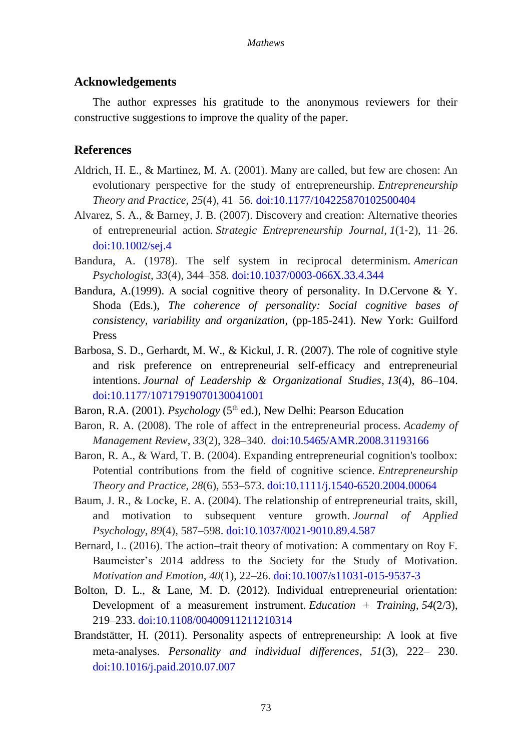## **Acknowledgements**

The author expresses his gratitude to the anonymous reviewers for their constructive suggestions to improve the quality of the paper.

# **References**

- Aldrich, H. E., & Martinez, M. A. (2001). Many are called, but few are chosen: An evolutionary perspective for the study of entrepreneurship. *Entrepreneurship Theory and Practice*, *25*(4), 41–56. [doi:10.1177/104225870102500404](http://journals.sagepub.com/doi/10.1177/104225870102500404)
- Alvarez, S. A., & Barney, J. B. (2007). Discovery and creation: Alternative theories of entrepreneurial action. *Strategic Entrepreneurship Journal*, *1*(1‐2), 11–26. [doi:10.1002/sej.4](https://onlinelibrary.wiley.com/doi/abs/10.1002/sej.4)
- Bandura, A. (1978). The self system in reciprocal determinism. *American Psychologist*, *33*(4), 344–358. [doi:10.1037/0003-066X.33.4.344](http://psycnet.apa.org/doiLanding?doi=10.1037%2F0003-066X.33.4.344)
- Bandura, A.(1999). A social cognitive theory of personality. In D.Cervone & Y. Shoda (Eds.), *The coherence of personality: Social cognitive bases of consistency, variability and organization*, (pp-185-241). New York: Guilford Press
- Barbosa, S. D., Gerhardt, M. W., & Kickul, J. R. (2007). The role of cognitive style and risk preference on entrepreneurial self-efficacy and entrepreneurial intentions. *Journal of Leadership & Organizational Studies*, *13*(4), 86–104. [doi:10.1177/10717919070130041001](http://journals.sagepub.com/doi/abs/10.1177/10717919070130041001)
- Baron, R.A. (2001). *Psychology* (5<sup>th</sup> ed.), New Delhi: Pearson Education
- Baron, R. A. (2008). The role of affect in the entrepreneurial process. *Academy of Management Review*, *33*(2), 328–340. [doi:10.5465/AMR.2008.31193166](https://journals.aom.org/doi/abs/10.5465/amr.2008.31193166?journalCode=amr)
- Baron, R. A., & Ward, T. B. (2004). Expanding entrepreneurial cognition's toolbox: Potential contributions from the field of cognitive science. *Entrepreneurship Theory and Practice*, *28*(6), 553–573. [doi:10.1111/j.1540-6520.2004.00064](https://onlinelibrary.wiley.com/doi/abs/10.1111/j.1540-6520.2004.00064.x)
- Baum, J. R., & Locke, E. A. (2004). The relationship of entrepreneurial traits, skill, and motivation to subsequent venture growth. *Journal of Applied Psychology*, *89*(4), 587–598. [doi:10.1037/0021-9010.89.4.587](http://psycnet.apa.org/doiLanding?doi=10.1037%2F0021-9010.89.4.587)
- Bernard, L. (2016). The action–trait theory of motivation: A commentary on Roy F. Baumeister's 2014 address to the Society for the Study of Motivation. *Motivation and Emotion*, *40*(1), 22–26. [doi:10.1007/s11031-015-9537-3](https://link.springer.com/article/10.1007/s11031-015-9537-3)
- Bolton, D. L., & Lane, M. D. (2012). Individual entrepreneurial orientation: Development of a measurement instrument. *Education + Training*, *54*(2/3), 219–233. [doi:10.1108/00400911211210314](https://www.emeraldinsight.com/doi/full/10.1108/00400911211210314)
- Brandstätter, H. (2011). Personality aspects of entrepreneurship: A look at five meta-analyses. *Personality and individual differences*, *51*(3), 222– 230. [doi:10.1016/j.paid.2010.07.007](https://www.sciencedirect.com/science/article/pii/S0191886910003454?via%3Dihub)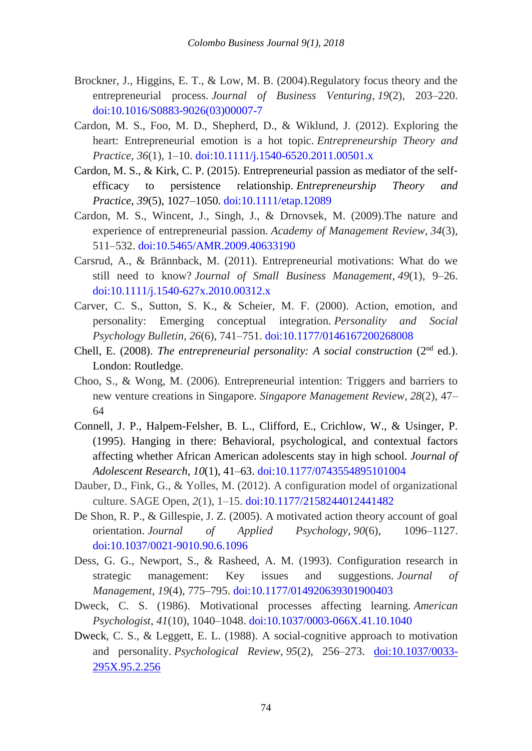- Brockner, J., Higgins, E. T., & Low, M. B. (2004).Regulatory focus theory and the entrepreneurial process. *Journal of Business Venturing*, *19*(2), 203–220. [doi:10.1016/S0883-9026\(03\)00007-7](https://www0.gsb.columbia.edu/mygsb/faculty/research/pubfiles/403/BrocknerHiggins_RegFocusTheory.pdf)
- Cardon, M. S., Foo, M. D., Shepherd, D., & Wiklund, J. (2012). Exploring the heart: Entrepreneurial emotion is a hot topic. *Entrepreneurship Theory and Practice*, *36*(1), 1–10. [doi:10.1111/j.1540-6520.2011.00501.x](http://journals.sagepub.com/doi/abs/10.1111/j.1540-6520.2011.00501.x)
- Cardon, M. S., & Kirk, C. P. (2015). Entrepreneurial passion as mediator of the self‐ efficacy to persistence relationship. *Entrepreneurship Theory and Practice*, *39*(5), 1027–1050. [doi:10.1111/etap.12089](http://journals.sagepub.com/doi/abs/10.1111/etap.12089?journalCode=etpb)
- Cardon, M. S., Wincent, J., Singh, J., & Drnovsek, M. (2009).The nature and experience of entrepreneurial passion. *Academy of Management Review*, *34*(3), 511–532. [doi:10.5465/AMR.2009.40633190](https://journals.aom.org/doi/10.5465/AMR.2009.40633190)
- Carsrud, A., & Brännback, M. (2011). Entrepreneurial motivations: What do we still need to know? *Journal of Small Business Management*, *49*(1), 9–26. [doi:10.1111/j.1540-627x.2010.00312.x](https://onlinelibrary.wiley.com/doi/abs/10.1111/j.1540-627X.2010.00312.x)
- Carver, C. S., Sutton, S. K., & Scheier, M. F. (2000). Action, emotion, and personality: Emerging conceptual integration. *Personality and Social Psychology Bulletin*, *26*(6), 741–751. [doi:10.1177/0146167200268008](http://journals.sagepub.com/doi/10.1177/0146167200268008)
- Chell, E. (2008). *The entrepreneurial personality: A social construction* (2nd ed.). London: Routledge.
- Choo, S., & Wong, M. (2006). Entrepreneurial intention: Triggers and barriers to new venture creations in Singapore. *Singapore Management Review*, *28*(2), 47– 64
- Connell, J. P., Halpem-Felsher, B. L., Clifford, E., Crichlow, W., & Usinger, P. (1995). Hanging in there: Behavioral, psychological, and contextual factors affecting whether African American adolescents stay in high school. *Journal of Adolescent Research*, *10*(1), 41–63. [doi:10.1177/0743554895101004](http://journals.sagepub.com/doi/10.1177/0743554895101004)
- Dauber, D., Fink, G., & Yolles, M. (2012). A configuration model of organizational culture. SAGE Open, *2*(1), 1–15. [doi:10.1177/2158244012441482](http://journals.sagepub.com/doi/abs/10.1177/2158244012441482)
- De Shon, R. P., & Gillespie, J. Z. (2005). A motivated action theory account of goal orientation. *Journal of Applied Psychology*, *90*(6), 1096–1127. [doi:10.1037/0021-9010.90.6.1096](http://psycnet.apa.org/doiLanding?doi=10.1037%2F0021-9010.90.6.1096)
- Dess, G. G., Newport, S., & Rasheed, A. M. (1993). Configuration research in strategic management: Key issues and suggestions. *Journal of Management*, *19*(4), 775–795. [doi:10.1177/014920639301900403](http://journals.sagepub.com/doi/10.1177/014920639301900403)
- Dweck, C. S. (1986). Motivational processes affecting learning. *American Psychologist*, *41*(10), 1040–1048. [doi:10.1037/0003-066X.41.10.1040](http://psycnet.apa.org/doiLanding?doi=10.1037%2F0003-066X.41.10.1040)
- Dweck, C. S., & Leggett, E. L. (1988). A social-cognitive approach to motivation and personality. *Psychological Review*, *95*(2), 256–273. [doi:10.1037/0033-](http://psycnet.apa.org/doiLanding?doi=10.1037%2F0033-295X.95.2.256) [295X.95.2.256](http://psycnet.apa.org/doiLanding?doi=10.1037%2F0033-295X.95.2.256)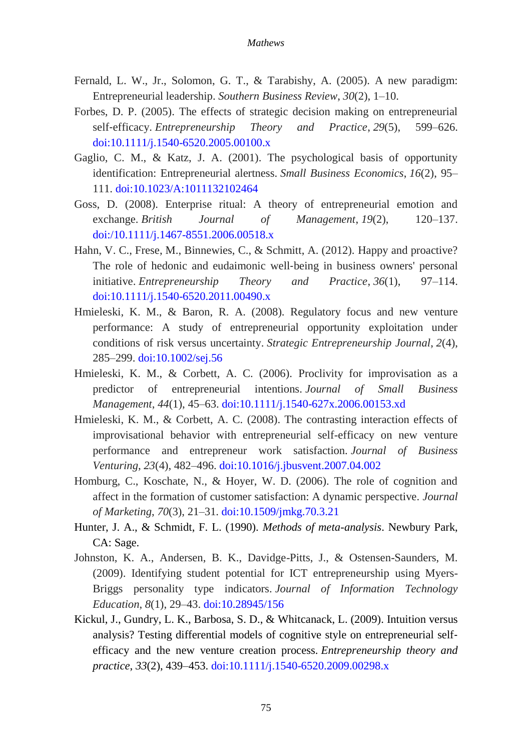- Fernald, L. W., Jr., Solomon, G. T., & Tarabishy, A. (2005). A new paradigm: Entrepreneurial leadership. *Southern Business Review*, *30*(2), 1–10.
- Forbes, D. P. (2005). The effects of strategic decision making on entrepreneurial self‐efficacy. *Entrepreneurship Theory and Practice*, *29*(5), 599–626. [doi:10.1111/j.1540-6520.2005.00100.x](http://journals.sagepub.com/doi/abs/10.1111/j.1540-6520.2005.00100.x)
- Gaglio, C. M.,  $\&$  Katz, J. A. (2001). The psychological basis of opportunity identification: Entrepreneurial alertness. *Small Business Economics*, *16*(2), 95– 111. [doi:10.1023/A:1011132102464](https://link.springer.com/article/10.1023/A:1011132102464)
- Goss, D. (2008). Enterprise ritual: A theory of entrepreneurial emotion and exchange. *British Journal of Management*, *19*(2), 120–137. [doi:/10.1111/j.1467-8551.2006.00518.x](https://onlinelibrary.wiley.com/doi/abs/10.1111/j.1467-8551.2006.00518.x)
- Hahn, V. C., Frese, M., Binnewies, C., & Schmitt, A. (2012). Happy and proactive? The role of hedonic and eudaimonic well-being in business owners' personal initiative. *Entrepreneurship Theory and Practice*, *36*(1), 97–114. [doi:10.1111/j.1540-6520.2011.00490.x](http://journals.sagepub.com/doi/abs/10.1111/j.1540-6520.2011.00490.x)
- Hmieleski, K. M., & Baron, R. A. (2008). Regulatory focus and new venture performance: A study of entrepreneurial opportunity exploitation under conditions of risk versus uncertainty. *Strategic Entrepreneurship Journal*, *2*(4), 285–299. [doi:10.1002/sej.56](https://onlinelibrary.wiley.com/doi/abs/10.1002/sej.56)
- Hmieleski, K. M., & Corbett, A. C. (2006). Proclivity for improvisation as a predictor of entrepreneurial intentions. *Journal of Small Business Management*, *44*(1), 45–63. [doi:10.1111/j.1540-627x.2006.00153.xd](https://onlinelibrary.wiley.com/doi/abs/10.1111/j.1540-627X.2006.00153.x)
- Hmieleski, K. M., & Corbett, A. C. (2008). The contrasting interaction effects of improvisational behavior with entrepreneurial self-efficacy on new venture performance and entrepreneur work satisfaction. *Journal of Business Venturing*, *23*(4), 482–496. [doi:10.1016/j.jbusvent.2007.04.002](https://www.sciencedirect.com/science/article/abs/pii/S0883902607000420)
- Homburg, C., Koschate, N., & Hoyer, W. D. (2006). The role of cognition and affect in the formation of customer satisfaction: A dynamic perspective. *Journal of Marketing*, *70*(3), 21–31. [doi:10.1509/jmkg.70.3.21](http://journals.ama.org/doi/10.1509/jmkg.70.3.21?code=amma-site)
- Hunter, J. A., & Schmidt, F. L. (1990). *Methods of meta-analysis*. Newbury Park, CA: Sage.
- Johnston, K. A., Andersen, B. K., Davidge-Pitts, J., & Ostensen-Saunders, M. (2009). Identifying student potential for ICT entrepreneurship using Myers-Briggs personality type indicators. *Journal of Information Technology Education*, *8*(1), 29–43. [doi:10.28945/156](https://www.informingscience.org/Publications/156)
- Kickul, J., Gundry, L. K., Barbosa, S. D., & Whitcanack, L. (2009). Intuition versus analysis? Testing differential models of cognitive style on entrepreneurial self‐ efficacy and the new venture creation process. *Entrepreneurship theory and practice*, *33*(2), 439–453. [doi:10.1111/j.1540-6520.2009.00298.x](http://journals.sagepub.com/doi/abs/10.1111/j.1540-6520.2009.00298.x)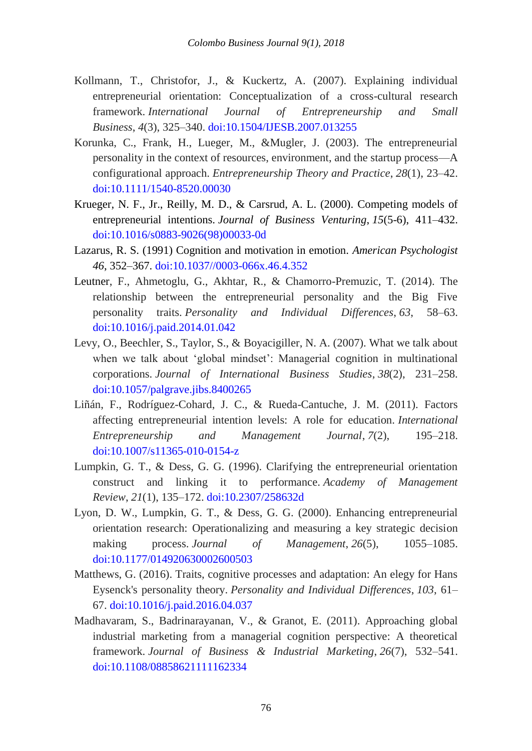- Kollmann, T., Christofor, J., & Kuckertz, A. (2007). Explaining individual entrepreneurial orientation: Conceptualization of a cross-cultural research framework. *International Journal of Entrepreneurship and Small Business*, *4*(3), 325–340. [doi:10.1504/IJESB.2007.013255](https://www.inderscienceonline.com/doi/abs/10.1504/IJESB.2007.013255)
- Korunka, C., Frank, H., Lueger, M., &Mugler, J. (2003). The entrepreneurial personality in the context of resources, environment, and the startup process—A configurational approach. *Entrepreneurship Theory and Practice*, *28*(1), 23–42. [doi:10.1111/1540-8520.00030](http://journals.sagepub.com/doi/abs/10.1111/1540-8520.00030?journalCode=etpb)
- Krueger, N. F., Jr., Reilly, M. D., & Carsrud, A. L. (2000). Competing models of entrepreneurial intentions. *Journal of Business Venturing*, *15*(5-6), 411–432. [doi:10.1016/s0883-9026\(98\)00033-0d](https://www.sciencedirect.com/science/article/abs/pii/S0883902698000330)
- Lazarus, R. S. (1991) Cognition and motivation in emotion. *American Psychologist 46*, 352–367. [doi:10.1037//0003-066x.46.4.352](http://psycnet.apa.org/doiLanding?doi=10.1037%2F0003-066X.46.4.3)
- Leutner, F., Ahmetoglu, G., Akhtar, R., & Chamorro-Premuzic, T. (2014). The relationship between the entrepreneurial personality and the Big Five personality traits. *Personality and Individual Differences*, *63*, 58–63. [doi:10.1016/j.paid.2014.01.042](https://www.sciencedirect.com/science/article/pii/S0191886914000622?via%3Dihub)
- Levy, O., Beechler, S., Taylor, S., & Boyacigiller, N. A. (2007). What we talk about when we talk about 'global mindset': Managerial cognition in multinational corporations. *Journal of International Business Studies*, *38*(2), 231–258. [doi:10.1057/palgrave.jibs.8400265](https://link.springer.com/article/10.1057/palgrave.jibs.8400265#citeas)
- Liñán, F., Rodríguez-Cohard, J. C., & Rueda-Cantuche, J. M. (2011). Factors affecting entrepreneurial intention levels: A role for education. *International Entrepreneurship and Management Journal*, *7*(2), 195–218. [doi:10.1007/s11365-010-0154-z](https://link.springer.com/article/10.1007/s11365-010-0154-z)
- Lumpkin, G. T., & Dess, G. G. (1996). Clarifying the entrepreneurial orientation construct and linking it to performance. *Academy of Management Review*, *21*(1), 135–172. [doi:10.2307/258632d](https://www.jstor.org/stable/258632?seq=1#page_scan_tab_contents)
- Lyon, D. W., Lumpkin, G. T., & Dess, G. G. (2000). Enhancing entrepreneurial orientation research: Operationalizing and measuring a key strategic decision making process. *Journal of Management*, 26(5), 1055–1085. [doi:10.1177/014920630002600503](http://journals.sagepub.com/doi/10.1177/014920630002600503)
- Matthews, G. (2016). Traits, cognitive processes and adaptation: An elegy for Hans Eysenck's personality theory. *Personality and Individual Differences*, *103*, 61– 67. [doi:10.1016/j.paid.2016.04.037](https://www.sciencedirect.com/science/article/pii/S0191886916302938?via%3Dihub)
- Madhavaram, S., Badrinarayanan, V., & Granot, E. (2011). Approaching global industrial marketing from a managerial cognition perspective: A theoretical framework. *Journal of Business & Industrial Marketing*, *26*(7), 532–541. [doi:10.1108/08858621111162334](https://www.emeraldinsight.com/doi/full/10.1108/08858621111162334)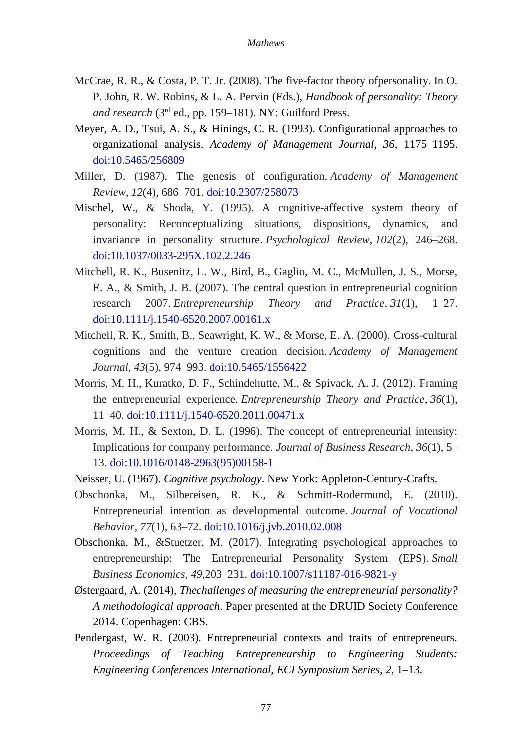- McCrae, R. R., & Costa, P. T. Jr. (2008). The five-factor theory ofpersonality. In O. P. John, R. W. Robins, & L. A. Pervin (Eds.), *Handbook of personality: Theory and research* (3rd ed., pp. 159–181). NY: Guilford Press.
- Meyer, A. D., Tsui, A. S., & Hinings, C. R. (1993). Configurational approaches to organizational analysis. *Academy of Management Journal, 36*, 1175–1195. [doi:10.5465/256809](https://journals.aom.org/doi/10.5465/256809)
- Miller, D. (1987). The genesis of configuration. *Academy of Management Review*, *12*(4), 686–701. [doi:10.2307/258073](https://www.jstor.org/stable/258073?seq=1#page_scan_tab_contents)
- Mischel, W., & Shoda, Y. (1995). A cognitive-affective system theory of personality: Reconceptualizing situations, dispositions, dynamics, and invariance in personality structure. *Psychological Review*, *102*(2), 246–268. [doi:10.1037/0033-295X.102.2.246](http://psycnet.apa.org/doiLanding?doi=10.1037%2F0033-295X.102.2.246)
- Mitchell, R. K., Busenitz, L. W., Bird, B., Gaglio, M. C., McMullen, J. S., Morse, E. A., & Smith, J. B. (2007). The central question in entrepreneurial cognition research 2007. *Entrepreneurship Theory and Practice*, *31*(1), 1–27. [doi:10.1111/j.1540-6520.2007.00161.x](http://journals.sagepub.com/doi/abs/10.1111/j.1540-6520.2007.00161.x?journalCode=etpb)
- Mitchell, R. K., Smith, B., Seawright, K. W., & Morse, E. A. (2000). Cross-cultural cognitions and the venture creation decision. *Academy of Management Journal*, *43*(5), 974–993. [doi:10.5465/1556422](https://journals.aom.org/doi/10.5465/1556422)
- Morris, M. H., Kuratko, D. F., Schindehutte, M., & Spivack, A. J. (2012). Framing the entrepreneurial experience. *Entrepreneurship Theory and Practice*, *36*(1), 11–40. [doi:10.1111/j.1540-6520.2011.00471.x](http://journals.sagepub.com/doi/abs/10.1111/j.1540-6520.2011.00471.x?journalCode=etpb)
- Morris, M. H., & Sexton, D. L. (1996). The concept of entrepreneurial intensity: Implications for company performance. *Journal of Business Research*, *36*(1), 5– 13. [doi:10.1016/0148-2963\(95\)00158-1](https://www.sciencedirect.com/science/article/abs/pii/0148296395001581)
- Neisser, U. (1967). *Cognitive psychology*. New York: Appleton-Century-Crafts.
- Obschonka, M., Silbereisen, R. K., & Schmitt-Rodermund, E. (2010). Entrepreneurial intention as developmental outcome. *Journal of Vocational Behavior*, *77*(1), 63–72. [doi:10.1016/j.jvb.2010.02.008](https://www.sciencedirect.com/science/article/abs/pii/S0001879110000643)
- Obschonka, M., &Stuetzer, M. (2017). Integrating psychological approaches to entrepreneurship: The Entrepreneurial Personality System (EPS). *Small Business Economics*, *49*,203–231. [doi:10.1007/s11187-016-9821-y](https://link.springer.com/article/10.1007%2Fs11187-016-9821-y)
- Østergaard, A. (2014), *Thechallenges of measuring the entrepreneurial personality? A methodological approach*. Paper presented at the DRUID Society Conference 2014. Copenhagen: CBS.
- Pendergast, W. R. (2003). Entrepreneurial contexts and traits of entrepreneurs. *Proceedings of Teaching Entrepreneurship to Engineering Students: Engineering Conferences International, ECI Symposium Series, 2*, 1–13.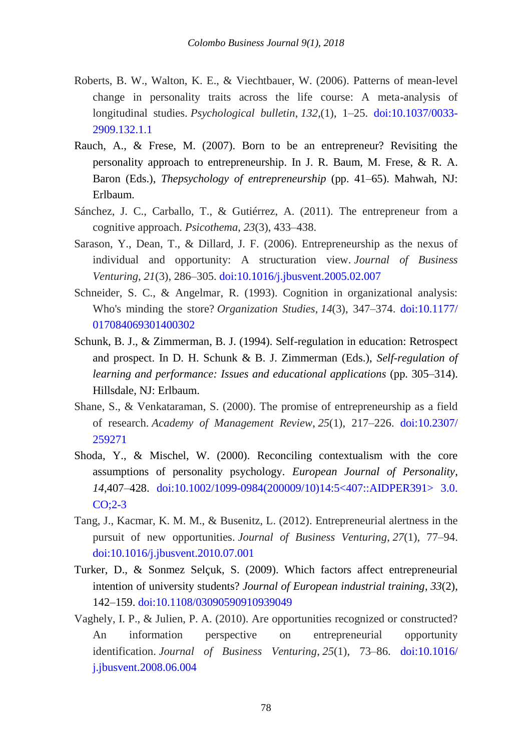- Roberts, B. W., Walton, K. E., & Viechtbauer, W. (2006). Patterns of mean-level change in personality traits across the life course: A meta-analysis of longitudinal studies. *Psychological bulletin*, *132*,(1), 1–25. [doi:10.1037/0033-](http://psycnet.apa.org/doiLanding?doi=10.1037%2F0033-2909.132.1.1) [2909.132.1.1](http://psycnet.apa.org/doiLanding?doi=10.1037%2F0033-2909.132.1.1)
- Rauch, A., & Frese, M. (2007). Born to be an entrepreneur? Revisiting the personality approach to entrepreneurship. In J. R. Baum, M. Frese, & R. A. Baron (Eds.), *Thepsychology of entrepreneurship* (pp. 41–65). Mahwah, NJ: Erlbaum.
- Sánchez, J. C., Carballo, T., & Gutiérrez, A. (2011). The entrepreneur from a cognitive approach. *Psicothema*, *23*(3), 433–438.
- Sarason, Y., Dean, T., & Dillard, J. F. (2006). Entrepreneurship as the nexus of individual and opportunity: A structuration view. *Journal of Business Venturing*, *21*(3), 286–305. [doi:10.1016/j.jbusvent.2005.02.007](https://www.deepdyve.com/lp/elsevier/entrepreneurship-as-the-nexus-of-individual-and-opportunity-a-0BBP0lYsE2)
- Schneider, S. C., & Angelmar, R. (1993). Cognition in organizational analysis: Who's minding the store? *Organization Studies*, *14*(3), 347–374. [doi:10.1177/](http://journals.sagepub.com/doi/10.1177/017084069301400302) [017084069301400302](http://journals.sagepub.com/doi/10.1177/017084069301400302)
- Schunk, B. J., & Zimmerman, B. J. (1994). Self-regulation in education: Retrospect and prospect. In D. H. Schunk & B. J. Zimmerman (Eds.), *Self-regulation of learning and performance: Issues and educational applications* (pp. 305–314). Hillsdale, NJ: Erlbaum.
- Shane, S., & Venkataraman, S. (2000). The promise of entrepreneurship as a field of research. *Academy of Management Review*, *25*(1), 217–226. [doi:10.2307/](https://www.jstor.org/stable/259271?seq=1#page_scan_tab_contents) [259271](https://www.jstor.org/stable/259271?seq=1#page_scan_tab_contents)
- Shoda, Y., & Mischel, W. (2000). Reconciling contextualism with the core assumptions of personality psychology. *European Journal of Personality*, *14*,407–428. [doi:10.1002/1099-0984\(200009/10\)14:5<407::AIDPER391>](https://onlinelibrary.wiley.com/doi/abs/10.1002/1099-0984%28200009/10%2914%3A5%3C407%3A%3AAID-PER391%3E3.0.CO%3B2-3) 3.0. [CO;2-3](https://onlinelibrary.wiley.com/doi/abs/10.1002/1099-0984%28200009/10%2914%3A5%3C407%3A%3AAID-PER391%3E3.0.CO%3B2-3)
- Tang, J., Kacmar, K. M. M., & Busenitz, L. (2012). Entrepreneurial alertness in the pursuit of new opportunities. *Journal of Business Venturing*, *27*(1), 77–94. [doi:10.1016/j.jbusvent.2010.07.001](https://www.sciencedirect.com/science/article/abs/pii/S0883902610000686)
- Turker, D., & Sonmez Selçuk, S. (2009). Which factors affect entrepreneurial intention of university students? *Journal of European industrial training*, *33*(2), 142–159. [doi:10.1108/03090590910939049](https://www.emeraldinsight.com/doi/full/10.1108/03090590910939049)
- Vaghely, I. P., & Julien, P. A. (2010). Are opportunities recognized or constructed? An information perspective on entrepreneurial opportunity identification. *Journal of Business Venturing*, *25*(1), 73–86. [doi:10.1016/](https://www.sciencedirect.com/science/article/abs/pii/S088390260800075X) [j.jbusvent.2008.06.004](https://www.sciencedirect.com/science/article/abs/pii/S088390260800075X)